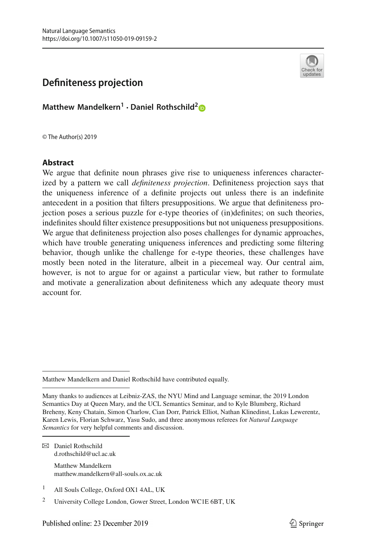

# **Definiteness projection**

**Matthew Mandelkern<sup>1</sup> · Daniel Rothschild[2](http://orcid.org/0000-0003-4868-6884)**

© The Author(s) 2019

#### **Abstract**

We argue that definite noun phrases give rise to uniqueness inferences characterized by a pattern we call *definiteness projection*. Definiteness projection says that the uniqueness inference of a definite projects out unless there is an indefinite antecedent in a position that filters presuppositions. We argue that definiteness projection poses a serious puzzle for e-type theories of (in)definites; on such theories, indefinites should filter existence presuppositions but not uniqueness presuppositions. We argue that definiteness projection also poses challenges for dynamic approaches, which have trouble generating uniqueness inferences and predicting some filtering behavior, though unlike the challenge for e-type theories, these challenges have mostly been noted in the literature, albeit in a piecemeal way. Our central aim, however, is not to argue for or against a particular view, but rather to formulate and motivate a generalization about definiteness which any adequate theory must account for.

 $⊠$  Daniel Rothschild d.rothschild@ucl.ac.uk

> Matthew Mandelkern matthew.mandelkern@all-souls.ox.ac.uk

Matthew Mandelkern and Daniel Rothschild have contributed equally.

Many thanks to audiences at Leibniz-ZAS, the NYU Mind and Language seminar, the 2019 London Semantics Day at Queen Mary, and the UCL Semantics Seminar, and to Kyle Blumberg, Richard Breheny, Keny Chatain, Simon Charlow, Cian Dorr, Patrick Elliot, Nathan Klinedinst, Lukas Lewerentz, Karen Lewis, Florian Schwarz, Yasu Sudo, and three anonymous referees for *Natural Language Semantics* for very helpful comments and discussion.

<sup>1</sup> All Souls College, Oxford OX1 4AL, UK

<sup>2</sup> University College London, Gower Street, London WC1E 6BT, UK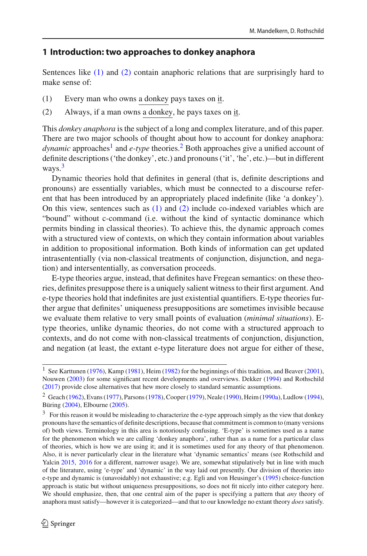#### **1 Introduction: two approaches to donkey anaphora**

<span id="page-1-0"></span>Sentences like [\(1\)](#page-1-0) and [\(2\)](#page-1-1) contain anaphoric relations that are surprisingly hard to make sense of:

- <span id="page-1-1"></span>(1) Every man who owns a donkey pays taxes on it.
- (2) Always, if a man owns a donkey, he pays taxes on it.

This *donkey anaphora* is the subject of a long and complex literature, and of this paper. There are two major schools of thought about how to account for donkey anaphora: *dynamic* approaches<sup>1</sup> and *e-type* theories.<sup>2</sup> Both approaches give a unified account of definite descriptions ('the donkey', etc.) and pronouns ('it', 'he', etc.)—but in different ways[.3](#page-1-4)

Dynamic theories hold that definites in general (that is, definite descriptions and pronouns) are essentially variables, which must be connected to a discourse referent that has been introduced by an appropriately placed indefinite (like 'a donkey'). On this view, sentences such as [\(1\)](#page-1-0) and [\(2\)](#page-1-1) include co-indexed variables which are "bound" without c-command (i.e. without the kind of syntactic dominance which permits binding in classical theories). To achieve this, the dynamic approach comes with a structured view of contexts, on which they contain information about variables in addition to propositional information. Both kinds of information can get updated intrasententially (via non-classical treatments of conjunction, disjunction, and negation) and intersententially, as conversation proceeds.

E-type theories argue, instead, that definites have Fregean semantics: on these theories, definites presuppose there is a uniquely salient witness to their first argument. And e-type theories hold that indefinites are just existential quantifiers. E-type theories further argue that definites' uniqueness presuppositions are sometimes invisible because we evaluate them relative to very small points of evaluation (*minimal situations*). Etype theories, unlike dynamic theories, do not come with a structured approach to contexts, and do not come with non-classical treatments of conjunction, disjunction, and negation (at least, the extant e-type literature does not argue for either of these,

<span id="page-1-2"></span><sup>&</sup>lt;sup>1</sup> See Karttu[n](#page-31-0)en [\(1976\)](#page-31-0), Kam[p](#page-31-1) [\(1981\)](#page-31-1), Hei[m](#page-31-2) [\(1982\)](#page-31-2) fo[r](#page-30-0) the beginnings of this tradition, and Beaver [\(2001](#page-30-0)), Nouwe[n](#page-32-0) [\(2003\)](#page-32-0) for some significant recent developments and overviews. Dekke[r](#page-31-3) [\(1994](#page-31-3)) and Rothschil[d](#page-32-1) [\(2017](#page-32-1)) provide close alternatives that hew more closely to standard semantic assumptions.

<span id="page-1-3"></span><sup>&</sup>lt;sup>2</sup> Geac[h](#page-31-4) [\(1962\)](#page-31-4), Evan[s](#page-32-2) [\(1977\)](#page-31-5), Parsons [\(1978](#page-32-2)), Coope[r](#page-31-6) [\(1979](#page-31-6)), N[e](#page-32-3)ale [\(1990](#page-32-3)), Hei[m](#page-31-7) [\(1990a](#page-31-7)), Ludlo[w](#page-32-4) [\(1994](#page-32-4)), Bürin[g](#page-31-8) [\(2004](#page-31-8)), Elbourn[e](#page-31-9) [\(2005\)](#page-31-9).

<span id="page-1-4"></span><sup>&</sup>lt;sup>3</sup> For this reason it would be misleading to characterize the e-type approach simply as the view that donkey pronouns have the semantics of definite descriptions, because that commitment is common to (many versions of) both views. Terminology in this area is notoriously confusing. 'E-type' is sometimes used as a name for the phenomenon which we are calling 'donkey anaphora', rather than as a name for a particular class of theories, which is how we are using it; and it is sometimes used for any theory of that phenomenon. Also, it is never particularly clear in the literature what 'dynamic semantics' means (see Rothschild and Yalci[n](#page-32-5) [2015](#page-32-5), [2016](#page-32-6) for a different, narrower usage). We are, somewhat stipulatively but in line with much of the literature, using 'e-type' and 'dynamic' in the way laid out presently. Our division of theories into e-type and dynamic is (unavoidably) not exhaustive; e.g. Egli and von Heusinger's [\(1995](#page-31-10)) choice-function approach is static but without uniqueness presuppositions, so does not fit nicely into either category here. We should emphasize, then, that one central aim of the paper is specifying a pattern that *any* theory of anaphora must satisfy—however it is categorized—and that to our knowledge no extant theory *does* satisfy.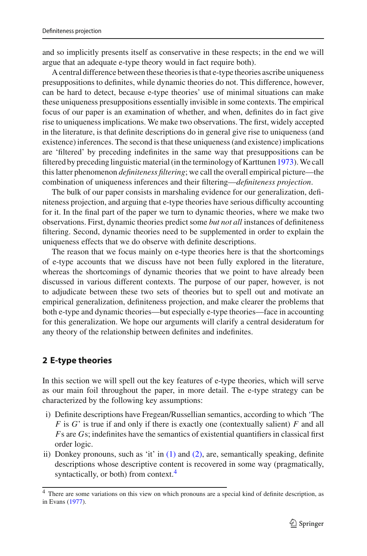and so implicitly presents itself as conservative in these respects; in the end we will argue that an adequate e-type theory would in fact require both).

A central difference between these theories is that e-type theories ascribe uniqueness presuppositions to definites, while dynamic theories do not. This difference, however, can be hard to detect, because e-type theories' use of minimal situations can make these uniqueness presuppositions essentially invisible in some contexts. The empirical focus of our paper is an examination of whether, and when, definites do in fact give rise to uniqueness implications. We make two observations. The first, widely accepted in the literature, is that definite descriptions do in general give rise to uniqueness (and existence) inferences. The second is that these uniqueness (and existence) implications are 'filtered' by preceding indefinites in the same way that presuppositions can be filtered by preceding linguistic material (in the terminology of Karttune[n](#page-31-11) [1973\)](#page-31-11).We call this latter phenomenon *definiteness filtering*; we call the overall empirical picture—the combination of uniqueness inferences and their filtering—*definiteness projection*.

The bulk of our paper consists in marshaling evidence for our generalization, definiteness projection, and arguing that e-type theories have serious difficulty accounting for it. In the final part of the paper we turn to dynamic theories, where we make two observations. First, dynamic theories predict some *but not all* instances of definiteness filtering. Second, dynamic theories need to be supplemented in order to explain the uniqueness effects that we do observe with definite descriptions.

The reason that we focus mainly on e-type theories here is that the shortcomings of e-type accounts that we discuss have not been fully explored in the literature, whereas the shortcomings of dynamic theories that we point to have already been discussed in various different contexts. The purpose of our paper, however, is not to adjudicate between these two sets of theories but to spell out and motivate an empirical generalization, definiteness projection, and make clearer the problems that both e-type and dynamic theories—but especially e-type theories—face in accounting for this generalization. We hope our arguments will clarify a central desideratum for any theory of the relationship between definites and indefinites.

# **2 E-type theories**

In this section we will spell out the key features of e-type theories, which will serve as our main foil throughout the paper, in more detail. The e-type strategy can be characterized by the following key assumptions:

- i) Definite descriptions have Fregean/Russellian semantics, according to which 'The *F* is *G*' is true if and only if there is exactly one (contextually salient) *F* and all *F*s are *G*s; indefinites have the semantics of existential quantifiers in classical first order logic.
- ii) Donkey pronouns, such as 'it' in  $(1)$  and  $(2)$ , are, semantically speaking, definite descriptions whose descriptive content is recovered in some way (pragmatically, syntactically, or both) from context.<sup>4</sup>

<span id="page-2-0"></span><sup>4</sup> There are some variations on this view on which pronouns are a special kind of definite description, as in Evan[s](#page-31-5) [\(1977\)](#page-31-5).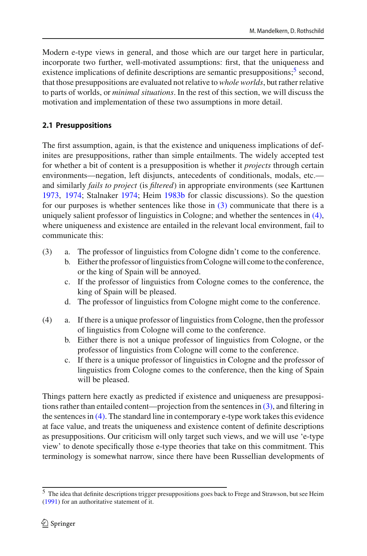Modern e-type views in general, and those which are our target here in particular, incorporate two further, well-motivated assumptions: first, that the uniqueness and existence implications of definite descriptions are semantic presuppositions;  $\frac{5}{3}$  second, that those presuppositions are evaluated not relative to *whole worlds*, but rather relative to parts of worlds, or *minimal situations*. In the rest of this section, we will discuss the motivation and implementation of these two assumptions in more detail.

# **2.1 Presuppositions**

The first assumption, again, is that the existence and uniqueness implications of definites are presuppositions, rather than simple entailments. The widely accepted test for whether a bit of content is a presupposition is whether it *projects* through certain environments—negation, left disjuncts, antecedents of conditionals, modals, etc. and similarly *fails to project* (is *filtered*) in appropriate environments (see Karttune[n](#page-31-11) [1973,](#page-31-11) [1974;](#page-31-12) Stalnake[r](#page-32-7) [1974;](#page-32-7) Hei[m](#page-31-13) [1983b](#page-31-13) for classic discussions). So the question for our purposes is whether sentences like those in [\(3\)](#page-3-1) communicate that there is a uniquely salient professor of linguistics in Cologne; and whether the sentences in [\(4\),](#page-3-2) where uniqueness and existence are entailed in the relevant local environment, fail to communicate this:

- <span id="page-3-1"></span>(3) a. The professor of linguistics from Cologne didn't come to the conference.
	- b. Either the professor of linguistics from Cologne will come to the conference, or the king of Spain will be annoyed.
	- c. If the professor of linguistics from Cologne comes to the conference, the king of Spain will be pleased.
	- d. The professor of linguistics from Cologne might come to the conference.
- <span id="page-3-2"></span>(4) a. If there is a unique professor of linguistics from Cologne, then the professor of linguistics from Cologne will come to the conference.
	- b. Either there is not a unique professor of linguistics from Cologne, or the professor of linguistics from Cologne will come to the conference.
	- c. If there is a unique professor of linguistics in Cologne and the professor of linguistics from Cologne comes to the conference, then the king of Spain will be pleased.

Things pattern here exactly as predicted if existence and uniqueness are presuppositions rather than entailed content—projection from the sentences in [\(3\),](#page-3-1) and filtering in the sentences in  $(4)$ . The standard line in contemporary e-type work takes this evidence at face value, and treats the uniqueness and existence content of definite descriptions as presuppositions. Our criticism will only target such views, and we will use 'e-type view' to denote specifically those e-type theories that take on this commitment. This terminology is somewhat narrow, since there have been Russellian developments of

<span id="page-3-0"></span><sup>5</sup> The idea that definite descriptions trigger presuppositions goes back to Frege and Strawson, but see Hei[m](#page-31-14) [\(1991](#page-31-14)) for an authoritative statement of it.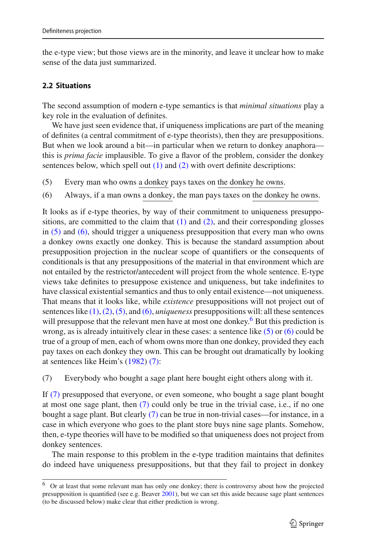the e-type view; but those views are in the minority, and leave it unclear how to make sense of the data just summarized.

#### <span id="page-4-4"></span>**2.2 Situations**

The second assumption of modern e-type semantics is that *minimal situations* play a key role in the evaluation of definites.

We have just seen evidence that, if uniqueness implications are part of the meaning of definites (a central commitment of e-type theorists), then they are presuppositions. But when we look around a bit—in particular when we return to donkey anaphora this is *prima facie* implausible. To give a flavor of the problem, consider the donkey sentences below, which spell out  $(1)$  and  $(2)$  with overt definite descriptions:

- <span id="page-4-1"></span><span id="page-4-0"></span>(5) Every man who owns a donkey pays taxes on the donkey he owns.
- (6) Always, if a man owns a donkey, the man pays taxes on the donkey he owns.

It looks as if e-type theories, by way of their commitment to uniqueness presuppositions, are committed to the claim that  $(1)$  and  $(2)$ , and their corresponding glosses in [\(5\)](#page-4-0) and [\(6\),](#page-4-1) should trigger a uniqueness presupposition that every man who owns a donkey owns exactly one donkey. This is because the standard assumption about presupposition projection in the nuclear scope of quantifiers or the consequents of conditionals is that any presuppositions of the material in that environment which are not entailed by the restrictor/antecedent will project from the whole sentence. E-type views take definites to presuppose existence and uniqueness, but take indefinites to have classical existential semantics and thus to only entail existence—not uniqueness. That means that it looks like, while *existence* presuppositions will not project out of sentences like [\(1\),](#page-1-0)[\(2\),](#page-1-1)[\(5\),](#page-4-0) and [\(6\),](#page-4-1) *uniqueness* presuppositions will: all these sentences will presuppose that the relevant men have at most one donkey.<sup>6</sup> But this prediction is wrong, as is already intuitively clear in these cases: a sentence like  $(5)$  or  $(6)$  could be true of a group of men, each of whom owns more than one donkey, provided they each pay taxes on each donkey they own. This can be brought out dramatically by looking at sentences like Heim's [\(1982\)](#page-31-2) [\(7\):](#page-4-3)

<span id="page-4-3"></span>(7) Everybody who bought a sage plant here bought eight others along with it.

If [\(7\)](#page-4-3) presupposed that everyone, or even someone, who bought a sage plant bought at most one sage plant, then [\(7\)](#page-4-3) could only be true in the trivial case, i.e., if no one bought a sage plant. But clearly [\(7\)](#page-4-3) can be true in non-trivial cases—for instance, in a case in which everyone who goes to the plant store buys nine sage plants. Somehow, then, e-type theories will have to be modified so that uniqueness does not project from donkey sentences.

The main response to this problem in the e-type tradition maintains that definites do indeed have uniqueness presuppositions, but that they fail to project in donkey

<span id="page-4-2"></span><sup>6</sup> Or at least that some relevant man has only one donkey; there is controversy about how the projected presupposition is quantified (see e.g. Beave[r](#page-30-0) [2001\)](#page-30-0), but we can set this aside because sage plant sentences (to be discussed below) make clear that either prediction is wrong.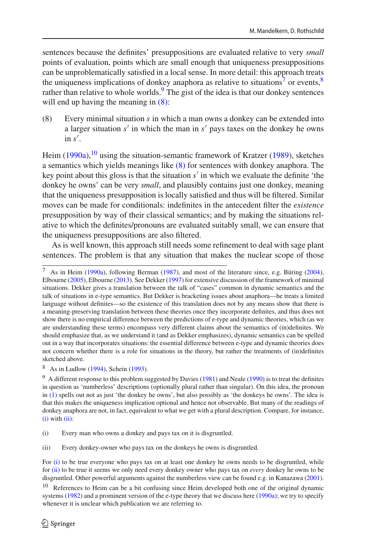sentences because the definites' presuppositions are evaluated relative to very *small* points of evaluation, points which are small enough that uniqueness presuppositions can be unproblematically satisfied in a local sense. In more detail: this approach treats the uniqueness implications of donkey anaphora as relative to situations<sup>7</sup> or events,  $\frac{8}{3}$ rather than relative to whole worlds. $9$  The gist of the idea is that our donkey sentences will end up having the meaning in  $(8)$ :

<span id="page-5-3"></span>(8) Every minimal situation *s* in which a man owns a donkey can be extended into a larger situation *s'* in which the man in *s'* pays taxes on the donkey he owns  $\sin s'$ .

Hei[m](#page-31-7)  $(1990a)$  $(1990a)$ ,<sup>[10](#page-5-4)</sup> using the situation-semantic f[r](#page-32-8)amework of Kratzer [\(1989](#page-32-8)), sketches a semantics which yields meanings like [\(8\)](#page-5-3) for sentences with donkey anaphora. The key point about this gloss is that the situation s' in which we evaluate the definite 'the donkey he owns' can be very *small*, and plausibly contains just one donkey, meaning that the uniqueness presupposition is locally satisfied and thus will be filtered. Similar moves can be made for conditionals: indefinites in the antecedent filter the *existence* presupposition by way of their classical semantics; and by making the situations relative to which the definites/pronouns are evaluated suitably small, we can ensure that the uniqueness presuppositions are also filtered.

As is well known, this approach still needs some refinement to deal with sage plant sentences. The problem is that any situation that makes the nuclear scope of those

<span id="page-5-1"></span><sup>8</sup> As in Ludlo[w](#page-32-4) [\(1994\)](#page-32-4), Schei[n](#page-32-9) [\(1993\)](#page-32-9).

<span id="page-5-0"></span>As in Hei[m](#page-31-7) [\(1990a\)](#page-31-7), followi[n](#page-31-15)g Berman [\(1987](#page-31-15)), and most of the literature since, e.[g](#page-31-8). Büring [\(2004](#page-31-8)), Elbourn[e](#page-31-9) [\(2005\)](#page-31-9), Elbourn[e](#page-31-16) [\(2013](#page-31-16)). See Dekke[r](#page-31-17) [\(1997\)](#page-31-17) for extensive discussion of the framework of minimal situations. Dekker gives a translation between the talk of "cases" common in dynamic semantics and the talk of situations in e-type semantics. But Dekker is bracketing issues about anaphora—he treats a limited language without definites—so the existence of this translation does not by any means show that there is a meaning-preserving translation between these theories once they incorporate definites, and thus does not show there is no empirical difference between the predictions of e-type and dynamic theories, which (as we are understanding these terms) encompass very different claims about the semantics of (in)definites. We should emphasize that, as we understand it (and as Dekker emphasizes), dynamic semantics can be spelled out in a way that incorporates situations: the essential difference between e-type and dynamic theories does not concern whether there is a role for situations in the theory, but rather the treatments of (in)definites sketched above.

<span id="page-5-2"></span><sup>&</sup>lt;[s](#page-31-18)up>9</sup> A different response to this problem suggested by Davies [\(1981](#page-31-18)) and N[e](#page-32-3)ale [\(1990\)](#page-32-3) is to treat the definites in question as 'numberless' descriptions (optionally plural rather than singular). On this idea, the pronoun in [\(1\)](#page-1-0) spells out not as just 'the donkey he owns', but also possibly as 'the donkeys he owns'. The idea is that this makes the uniqueness implication optional and hence not observable. But many of the readings of donkey anaphora are not, in fact, equivalent to what we get with a plural description. Compare, for instance,  $(i)$  with  $(ii)$ :

<span id="page-5-5"></span><sup>(</sup>i) Every man who owns a donkey and pays tax on it is disgruntled.

<span id="page-5-6"></span><sup>(</sup>ii) Every donkey-owner who pays tax on the donkeys he owns is disgruntled.

For [\(i\)](#page-5-5) to be true everyone who pays tax on at least one donkey he owns needs to be disgruntled, while for [\(ii\)](#page-5-6) to be true it seems we only need every donkey owner who pays tax on *every* donkey he owns to be disgruntled. Other powerful arguments against the numberless view can be found e.g. in Kanazaw[a](#page-31-19) [\(2001](#page-31-19)).

<span id="page-5-4"></span><sup>&</sup>lt;sup>10</sup> References to Heim can be a bit confusing since Heim developed both one of the original dynamic systems [\(1982](#page-31-2)) and a prominent version of the e-type theory that we discuss here [\(1990a](#page-31-7)); we try to specify whenever it is unclear which publication we are referring to.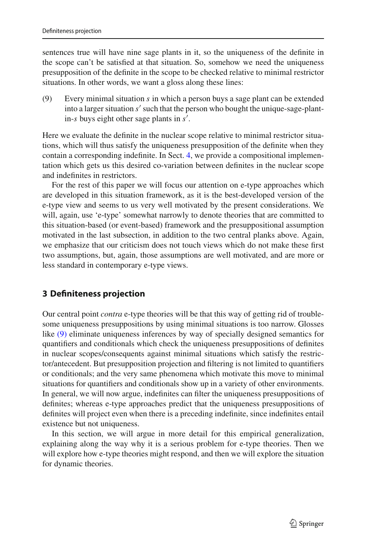sentences true will have nine sage plants in it, so the uniqueness of the definite in the scope can't be satisfied at that situation. So, somehow we need the uniqueness presupposition of the definite in the scope to be checked relative to minimal restrictor situations. In other words, we want a gloss along these lines:

<span id="page-6-0"></span>(9) Every minimal situation *s* in which a person buys a sage plant can be extended into a larger situation *s'* such that the person who bought the unique-sage-plantin-*s* buys eight other sage plants in *s'*.

Here we evaluate the definite in the nuclear scope relative to minimal restrictor situations, which will thus satisfy the uniqueness presupposition of the definite when they contain a corresponding indefinite. In Sect. [4,](#page-18-0) we provide a compositional implementation which gets us this desired co-variation between definites in the nuclear scope and indefinites in restrictors.

For the rest of this paper we will focus our attention on e-type approaches which are developed in this situation framework, as it is the best-developed version of the e-type view and seems to us very well motivated by the present considerations. We will, again, use 'e-type' somewhat narrowly to denote theories that are committed to this situation-based (or event-based) framework and the presuppositional assumption motivated in the last subsection, in addition to the two central planks above. Again, we emphasize that our criticism does not touch views which do not make these first two assumptions, but, again, those assumptions are well motivated, and are more or less standard in contemporary e-type views.

## **3 Definiteness projection**

Our central point *contra* e-type theories will be that this way of getting rid of troublesome uniqueness presuppositions by using minimal situations is too narrow. Glosses like [\(9\)](#page-6-0) eliminate uniqueness inferences by way of specially designed semantics for quantifiers and conditionals which check the uniqueness presuppositions of definites in nuclear scopes/consequents against minimal situations which satisfy the restrictor/antecedent. But presupposition projection and filtering is not limited to quantifiers or conditionals; and the very same phenomena which motivate this move to minimal situations for quantifiers and conditionals show up in a variety of other environments. In general, we will now argue, indefinites can filter the uniqueness presuppositions of definites; whereas e-type approaches predict that the uniqueness presuppositions of definites will project even when there is a preceding indefinite, since indefinites entail existence but not uniqueness.

In this section, we will argue in more detail for this empirical generalization, explaining along the way why it is a serious problem for e-type theories. Then we will explore how e-type theories might respond, and then we will explore the situation for dynamic theories.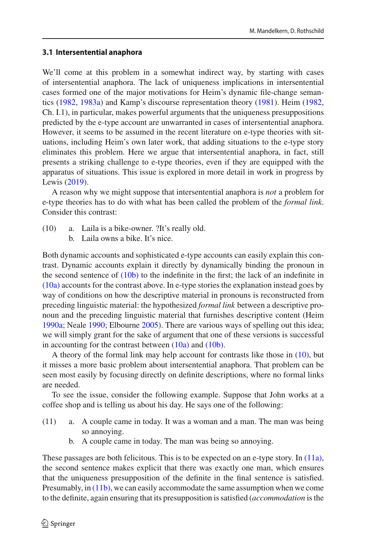### <span id="page-7-5"></span>**3.1 Intersentential anaphora**

We'll come at this problem in a somewhat indirect way, by starting with cases of intersentential anaphora. The lack of uniqueness implications in intersentential cases formed one of the major motivations for Heim's dynamic file-change semantics [\(1982,](#page-31-2) [1983a](#page-31-20)) and Kamp's discourse representation theory [\(1981\)](#page-31-1). Heim [\(1982,](#page-31-2) Ch. I.1), in particular, makes powerful arguments that the uniqueness presuppositions predicted by the e-type account are unwarranted in cases of intersentential anaphora. However, it seems to be assumed in the recent literature on e-type theories with situations, including Heim's own later work, that adding situations to the e-type story eliminates this problem. Here we argue that intersentential anaphora, in fact, still presents a striking challenge to e-type theories, even if they are equipped with the apparatus of situations. This issue is explored in more detail in work in progress by Lewi[s](#page-32-10) [\(2019\)](#page-32-10).

A reason why we might suppose that intersentential anaphora is *not* a problem for e-type theories has to do with what has been called the problem of the *formal link*. Consider this contrast:

- <span id="page-7-2"></span><span id="page-7-1"></span><span id="page-7-0"></span>(10) a. Laila is a bike-owner. ?It's really old.
	- b. Laila owns a bike. It's nice.

Both dynamic accounts and sophisticated e-type accounts can easily explain this contrast. Dynamic accounts explain it directly by dynamically binding the pronoun in the second sentence of  $(10b)$  to the indefinite in the first; the lack of an indefinite in [\(10a\)](#page-7-1) accounts for the contrast above. In e-type stories the explanation instead goes by way of conditions on how the descriptive material in pronouns is reconstructed from preceding linguistic material: the hypothesized *formal link* between a descriptive pronoun and the preceding linguistic material that furnishes descriptive content (Heim [1990a](#page-31-7); Neale [1990;](#page-32-3) Elbourne [2005\)](#page-31-9). There are various ways of spelling out this idea; we will simply grant for the sake of argument that one of these versions is successful in accounting for the contrast between  $(10a)$  and  $(10b)$ .

A theory of the formal link may help account for contrasts like those in [\(10\),](#page-7-2) but it misses a more basic problem about intersentential anaphora. That problem can be seen most easily by focusing directly on definite descriptions, where no formal links are needed.

To see the issue, consider the following example. Suppose that John works at a coffee shop and is telling us about his day. He says one of the following:

- <span id="page-7-4"></span><span id="page-7-3"></span>(11) a. A couple came in today. It was a woman and a man. The man was being so annoying.
	- b. A couple came in today. The man was being so annoying.

These passages are both felicitous. This is to be expected on an e-type story. In [\(11a\),](#page-7-3) the second sentence makes explicit that there was exactly one man, which ensures that the uniqueness presupposition of the definite in the final sentence is satisfied. Presumably, in [\(11b\),](#page-7-4) we can easily accommodate the same assumption when we come to the definite, again ensuring that its presupposition is satisfied (*accommodation* is the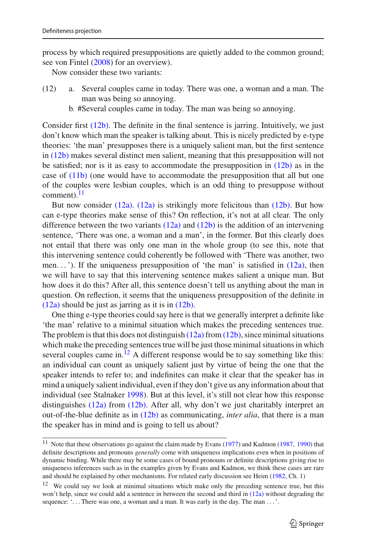process by which required presuppositions are quietly added to the common ground; see von Finte[l](#page-32-11) [\(2008](#page-32-11)) for an overview).

<span id="page-8-4"></span><span id="page-8-2"></span>Now consider these two variants:

- <span id="page-8-0"></span>(12) a. Several couples came in today. There was one, a woman and a man. The man was being so annoying.
	- b. #Several couples came in today. The man was being so annoying.

Consider first [\(12b\).](#page-8-0) The definite in the final sentence is jarring. Intuitively, we just don't know which man the speaker is talking about. This is nicely predicted by e-type theories: 'the man' presupposes there is a uniquely salient man, but the first sentence in [\(12b\)](#page-8-0) makes several distinct men salient, meaning that this presupposition will not be satisfied; nor is it as easy to accommodate the presupposition in  $(12b)$  as in the case of  $(11b)$  (one would have to accommodate the presupposition that all but one of the couples were lesbian couples, which is an odd thing to presuppose without comment). $^{11}$ 

But now consider  $(12a)$ .  $(12a)$  is strikingly more felicitous than  $(12b)$ . But how can e-type theories make sense of this? On reflection, it's not at all clear. The only difference between the two variants  $(12a)$  and  $(12b)$  is the addition of an intervening sentence, 'There was one, a woman and a man', in the former. But this clearly does not entail that there was only one man in the whole group (to see this, note that this intervening sentence could coherently be followed with 'There was another, two men...'). If the uniqueness presupposition of 'the man' is satisfied in  $(12a)$ , then we will have to say that this intervening sentence makes salient a unique man. But how does it do this? After all, this sentence doesn't tell us anything about the man in question. On reflection, it seems that the uniqueness presupposition of the definite in [\(12a\)](#page-8-2) should be just as jarring as it is in [\(12b\).](#page-8-0)

One thing e-type theories could say here is that we generally interpret a definite like 'the man' relative to a minimal situation which makes the preceding sentences true. The problem is that this does not distinguish  $(12a)$  from  $(12b)$ , since minimal situations which make the preceding sentences true will be just those minimal situations in which several couples came in.<sup>12</sup> A different response would be to say something like this: an individual can count as uniquely salient just by virtue of being the one that the speaker intends to refer to; and indefinites can make it clear that the speaker has in mind a uniquely salient individual, even if they don't give us any information about that individual (see Stalnake[r](#page-32-12) [1998\)](#page-32-12). But at this level, it's still not clear how this response distinguishes [\(12a\)](#page-8-2) from [\(12b\).](#page-8-0) After all, why don't we just charitably interpret an out-of-the-blue definite as in [\(12b\)](#page-8-0) as communicating, *inter alia*, that there is a man the speaker has in mind and is going to tell us about?

<span id="page-8-1"></span><sup>&</sup>lt;[s](#page-31-5)up>11</sup> Note that these observations go against the claim made by Evans [\(1977](#page-31-5)) a[n](#page-31-21)d Kadmon [\(1987,](#page-31-21) [1990\)](#page-31-22) that definite descriptions and pronouns *generally* come with uniqueness implications even when in positions of dynamic binding. While there may be some cases of bound pronouns or definite descriptions giving rise to uniqueness inferences such as in the examples given by Evans and Kadmon, we think these cases are rare and should be explained by other mechanisms. For related early discussion see Heim [\(1982,](#page-31-2) Ch. 1)

<span id="page-8-3"></span><sup>&</sup>lt;sup>12</sup> We could say we look at minimal situations which make only the preceding sentence true, but this won't help, since we could add a sentence in between the second and third in [\(12a\)](#page-8-2) without degrading the sequence: '... There was one, a woman and a man. It was early in the day. The man ... '.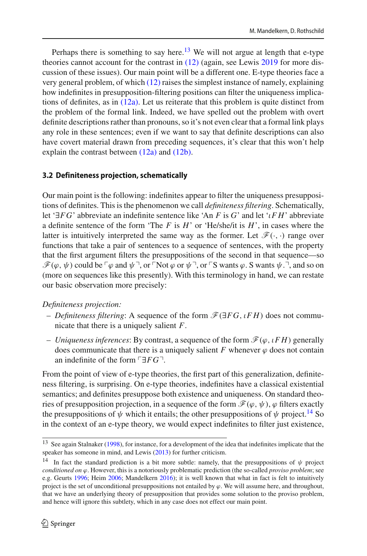Perhaps there is something to say here.<sup>[13](#page-9-0)</sup> We will not argue at length that e-type theories cannot account for the contrast in [\(12\)](#page-8-4) (again, see Lewi[s](#page-32-10) [2019](#page-32-10) for more discussion of these issues). Our main point will be a different one. E-type theories face a very general problem, of which [\(12\)](#page-8-4) raises the simplest instance of namely, explaining how indefinites in presupposition-filtering positions can filter the uniqueness implications of definites, as in  $(12a)$ . Let us reiterate that this problem is quite distinct from the problem of the formal link. Indeed, we have spelled out the problem with overt definite descriptions rather than pronouns, so it's not even clear that a formal link plays any role in these sentences; even if we want to say that definite descriptions can also have covert material drawn from preceding sequences, it's clear that this won't help explain the contrast between [\(12a\)](#page-8-2) and [\(12b\).](#page-8-0)

#### **3.2 Definiteness projection, schematically**

Our main point is the following: indefinites appear to filter the uniqueness presuppositions of definites. This is the phenomenon we call *definiteness filtering*. Schematically, let '∃*FG*' abbreviate an indefinite sentence like 'An *F* is *G*' and let 'ι*F H*' abbreviate a definite sentence of the form 'The *F* is *H*' or 'He/she/it is *H*', in cases where the latter is intuitively interpreted the same way as the former. Let  $\mathcal{F}(\cdot, \cdot)$  range over functions that take a pair of sentences to a sequence of sentences, with the property that the first argument filters the presuppositions of the second in that sequence—so  $\mathscr{F}(\varphi,\psi)$  could be  $\ulcorner \varphi$  and  $\psi \urcorner$ , or  $\ulcorner \operatorname{Not} \varphi$  or  $\psi \urcorner$ , or  $\ulcorner \operatorname{S}$  wants  $\varphi$ . S wants  $\psi \urcorner \urcorner$ , and so on (more on sequences like this presently). With this terminology in hand, we can restate our basic observation more precisely:

*Definiteness projection:*

- *Definiteness filtering*: A sequence of the form *F*(∃*FG*, ι*F H*) does not communicate that there is a uniquely salient *F*.
- $-$  *Uniqueness inferences*: By contrast, a sequence of the form  $\mathcal{F}(\varphi, \iota F H)$  generally does communicate that there is a uniquely salient  $F$  whenever  $\varphi$  does not contain an indefinite of the form  $\lceil \exists FG \rceil$ .

From the point of view of e-type theories, the first part of this generalization, definiteness filtering, is surprising. On e-type theories, indefinites have a classical existential semantics; and definites presuppose both existence and uniqueness. On standard theories of presupposition projection, in a sequence of the form  $\mathcal{F}(\varphi, \psi)$ ,  $\varphi$  filters exactly the presuppositions of  $\psi$  which it entails; the other presuppositions of  $\psi$  project.<sup>14</sup> So in the context of an e-type theory, we would expect indefinites to filter just existence,

<span id="page-9-0"></span><sup>&</sup>lt;sup>13</sup> See again Stalnake[r](#page-32-12) [\(1998\)](#page-32-12), for instance, for a development of the idea that indefinites implicate that the speaker has someone in mind, and Lewi[s](#page-32-13) [\(2013\)](#page-32-13) for further criticism.

<span id="page-9-1"></span><sup>&</sup>lt;sup>14</sup> In fact the standard prediction is a bit more subtle: namely, that the presuppositions of  $\psi$  project *conditioned on*  $\varphi$ . However, this is a notoriously problematic prediction (the so-called *proviso problem*; see e.g. Geurt[s](#page-31-23) [1996;](#page-31-23) Hei[m](#page-31-24) [2006;](#page-31-24) Mandelker[n](#page-32-14) [2016](#page-32-14)); it is well known that what in fact is felt to intuitively project is the set of unconditional presuppositions not entailed by  $\varphi$ . We will assume here, and throughout, that we have an underlying theory of presupposition that provides some solution to the proviso problem, and hence will ignore this subtlety, which in any case does not effect our main point.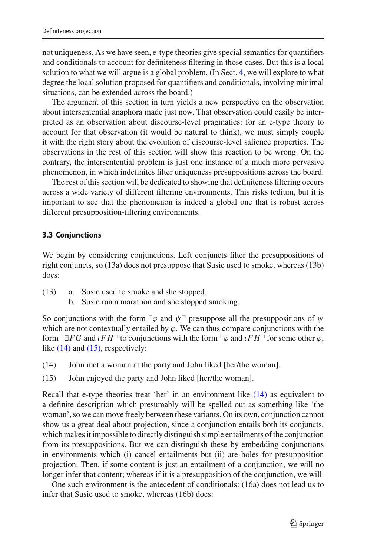not uniqueness. As we have seen, e-type theories give special semantics for quantifiers and conditionals to account for definiteness filtering in those cases. But this is a local solution to what we will argue is a global problem. (In Sect. [4,](#page-18-0) we will explore to what degree the local solution proposed for quantifiers and conditionals, involving minimal situations, can be extended across the board.)

The argument of this section in turn yields a new perspective on the observation about intersentential anaphora made just now. That observation could easily be interpreted as an observation about discourse-level pragmatics: for an e-type theory to account for that observation (it would be natural to think), we must simply couple it with the right story about the evolution of discourse-level salience properties. The observations in the rest of this section will show this reaction to be wrong. On the contrary, the intersentential problem is just one instance of a much more pervasive phenomenon, in which indefinites filter uniqueness presuppositions across the board.

The rest of this section will be dedicated to showing that definiteness filtering occurs across a wide variety of different filtering environments. This risks tedium, but it is important to see that the phenomenon is indeed a global one that is robust across different presupposition-filtering environments.

#### <span id="page-10-2"></span>**3.3 Conjunctions**

We begin by considering conjunctions. Left conjuncts filter the presuppositions of right conjuncts, so (13a) does not presuppose that Susie used to smoke, whereas (13b) does:

- (13) a. Susie used to smoke and she stopped.
	- b. Susie ran a marathon and she stopped smoking.

So conjunctions with the form  $\nabla \varphi$  and  $\psi$ <sup> $\neg$ </sup> presuppose all the presuppositions of  $\psi$ which are not contextually entailed by  $\varphi$ . We can thus compare conjunctions with the form  $\ulcorner \exists FG$  and  $\iota FH \urcorner$  to conjunctions with the form  $\ulcorner \varphi$  and  $\iota FH \urcorner$  for some other  $\varphi$ , like  $(14)$  and  $(15)$ , respectively:

- <span id="page-10-1"></span><span id="page-10-0"></span>(14) John met a woman at the party and John liked [her/the woman].
- (15) John enjoyed the party and John liked [her/the woman].

Recall that e-type theories treat 'her' in an environment like [\(14\)](#page-10-0) as equivalent to a definite description which presumably will be spelled out as something like 'the woman', so we can move freely between these variants. On its own, conjunction cannot show us a great deal about projection, since a conjunction entails both its conjuncts, which makes it impossible to directly distinguish simple entailments of the conjunction from its presuppositions. But we can distinguish these by embedding conjunctions in environments which (i) cancel entailments but (ii) are holes for presupposition projection. Then, if some content is just an entailment of a conjunction, we will no longer infer that content; whereas if it is a presupposition of the conjunction, we will.

One such environment is the antecedent of conditionals: (16a) does not lead us to infer that Susie used to smoke, whereas (16b) does: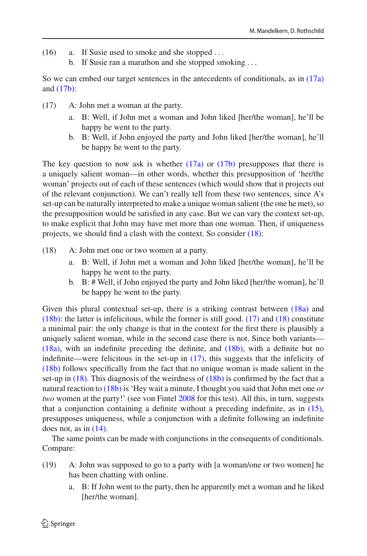- (16) a. If Susie used to smoke and she stopped ...
	- b. If Susie ran a marathon and she stopped smoking ...

<span id="page-11-5"></span>So we can embed our target sentences in the antecedents of conditionals, as in [\(17a\)](#page-11-0) and  $(17b)$ :

- <span id="page-11-1"></span><span id="page-11-0"></span>(17) A: John met a woman at the party.
	- a. B: Well, if John met a woman and John liked [her/the woman], he'll be happy he went to the party.
	- b. B: Well, if John enjoyed the party and John liked [her/the woman], he'll be happy he went to the party.

The key question to now ask is whether  $(17a)$  or  $(17b)$  presupposes that there is a uniquely salient woman—in other words, whether this presupposition of 'her/the woman' projects out of each of these sentences (which would show that it projects out of the relevant conjunction). We can't really tell from these two sentences, since A's set-up can be naturally interpreted to make a unique woman salient (the one he met), so the presupposition would be satisfied in any case. But we can vary the context set-up, to make explicit that John may have met more than one woman. Then, if uniqueness projects, we should find a clash with the context. So consider [\(18\):](#page-11-2)

- <span id="page-11-4"></span><span id="page-11-3"></span><span id="page-11-2"></span>(18) A: John met one or two women at a party.
	- a. B: Well, if John met a woman and John liked [her/the woman], he'll be happy he went to the party.
	- b. B: # Well, if John enjoyed the party and John liked [her/the woman], he'll be happy he went to the party.

Given this plural contextual set-up, there is a striking contrast between  $(18a)$  and  $(18b)$ : the latter is infelicitous, while the former is still good.  $(17)$  and  $(18)$  constitute a minimal pair: the only change is that in the context for the first there is plausibly a uniquely salient woman, while in the second case there is not. Since both variants— [\(18a\),](#page-11-3) with an indefinite preceding the definite, and [\(18b\),](#page-11-4) with a definite but no indefinite—were felicitous in the set-up in [\(17\),](#page-11-5) this suggests that the infelicity of [\(18b\)](#page-11-4) follows specifically from the fact that no unique woman is made salient in the set-up in [\(18\).](#page-11-2) This diagnosis of the weirdness of [\(18b\)](#page-11-4) is confirmed by the fact that a natural reaction to [\(18b\)](#page-11-4) is 'Hey wait a minute, I thought you said that John met one *or two* women at the party!' (see von Finte[l](#page-32-11) [2008](#page-32-11) for this test). All this, in turn, suggests that a conjunction containing a definite without a preceding indefinite, as in [\(15\),](#page-10-1) presupposes uniqueness, while a conjunction with a definite following an indefinite does not, as in  $(14)$ .

The same points can be made with conjunctions in the consequents of conditionals. Compare:

- (19) A: John was supposed to go to a party with [a woman/one or two women] he has been chatting with online.
	- a. B: If John went to the party, then he apparently met a woman and he liked [her/the woman].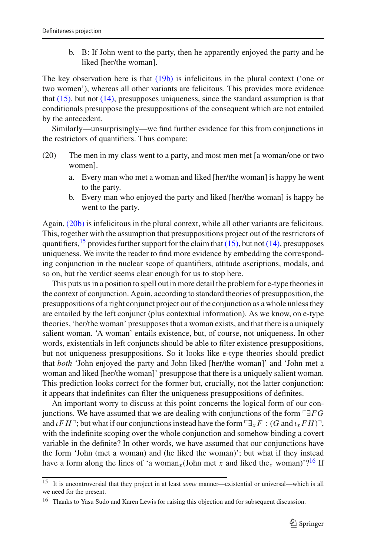<span id="page-12-0"></span>b. B: If John went to the party, then he apparently enjoyed the party and he liked [her/the woman].

The key observation here is that [\(19b\)](#page-12-0) is infelicitous in the plural context ('one or two women'), whereas all other variants are felicitous. This provides more evidence that  $(15)$ , but not  $(14)$ , presupposes uniqueness, since the standard assumption is that conditionals presuppose the presuppositions of the consequent which are not entailed by the antecedent.

Similarly—unsurprisingly—we find further evidence for this from conjunctions in the restrictors of quantifiers. Thus compare:

- <span id="page-12-1"></span>(20) The men in my class went to a party, and most men met [a woman/one or two women].
	- a. Every man who met a woman and liked [her/the woman] is happy he went to the party.
	- b. Every man who enjoyed the party and liked [her/the woman] is happy he went to the party.

Again, [\(20b\)](#page-12-1) is infelicitous in the plural context, while all other variants are felicitous. This, together with the assumption that presuppositions project out of the restrictors of quantifiers,  $15$  provides further support for the claim that [\(15\),](#page-10-1) but not [\(14\),](#page-10-0) presupposes uniqueness. We invite the reader to find more evidence by embedding the corresponding conjunction in the nuclear scope of quantifiers, attitude ascriptions, modals, and so on, but the verdict seems clear enough for us to stop here.

This puts us in a position to spell out in more detail the problem for e-type theories in the context of conjunction. Again, according to standard theories of presupposition, the presuppositions of a right conjunct project out of the conjunction as a whole unless they are entailed by the left conjunct (plus contextual information). As we know, on e-type theories, 'her/the woman' presupposes that a woman exists, and that there is a uniquely salient woman. 'A woman' entails existence, but, of course, not uniqueness. In other words, existentials in left conjuncts should be able to filter existence presuppositions, but not uniqueness presuppositions. So it looks like e-type theories should predict that *both* 'John enjoyed the party and John liked [her/the woman]' and 'John met a woman and liked [her/the woman]' presuppose that there is a uniquely salient woman. This prediction looks correct for the former but, crucially, not the latter conjunction: it appears that indefinites can filter the uniqueness presuppositions of definites.

An important worry to discuss at this point concerns the logical form of our conjunctions. We have assumed that we are dealing with conjunctions of the form -∃*FG* and  $\iota F H$ <sup>-</sup>; but what if our conjunctions instead have the form  $\lceil \exists_x F : (G \text{ and } \iota_x F H) \rceil$ , with the indefinite scoping over the whole conjunction and somehow binding a covert variable in the definite? In other words, we have assumed that our conjunctions have the form 'John (met a woman) and (he liked the woman)'; but what if they instead have a form along the lines of 'a woman<sub>*x*</sub> (John met *x* and liked the<sub>*x*</sub> woman)'?<sup>16</sup> If

<span id="page-12-2"></span><sup>15</sup> It is uncontroversial that they project in at least *some* manner—existential or universal—which is all we need for the present.

<span id="page-12-3"></span><sup>&</sup>lt;sup>16</sup> Thanks to Yasu Sudo and Karen Lewis for raising this objection and for subsequent discussion.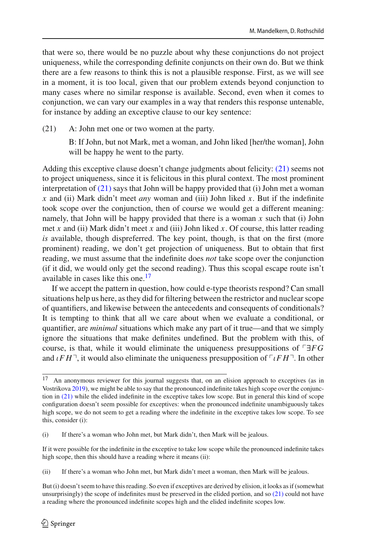that were so, there would be no puzzle about why these conjunctions do not project uniqueness, while the corresponding definite conjuncts on their own do. But we think there are a few reasons to think this is not a plausible response. First, as we will see in a moment, it is too local, given that our problem extends beyond conjunction to many cases where no similar response is available. Second, even when it comes to conjunction, we can vary our examples in a way that renders this response untenable, for instance by adding an exceptive clause to our key sentence:

<span id="page-13-0"></span>(21) A: John met one or two women at the party.

B: If John, but not Mark, met a woman, and John liked [her/the woman], John will be happy he went to the party.

Adding this exceptive clause doesn't change judgments about felicity: [\(21\)](#page-13-0) seems not to project uniqueness, since it is felicitous in this plural context. The most prominent interpretation of [\(21\)](#page-13-0) says that John will be happy provided that (i) John met a woman *x* and (ii) Mark didn't meet *any* woman and (iii) John liked *x*. But if the indefinite took scope over the conjunction, then of course we would get a different meaning: namely, that John will be happy provided that there is a woman *x* such that (i) John met *x* and (ii) Mark didn't meet *x* and (iii) John liked *x*. Of course, this latter reading *is* available, though dispreferred. The key point, though, is that on the first (more prominent) reading, we don't get projection of uniqueness. But to obtain that first reading, we must assume that the indefinite does *not* take scope over the conjunction (if it did, we would only get the second reading). Thus this scopal escape route isn't available in cases like this one.[17](#page-13-1)

If we accept the pattern in question, how could e-type theorists respond? Can small situations help us here, as they did for filtering between the restrictor and nuclear scope of quantifiers, and likewise between the antecedents and consequents of conditionals? It is tempting to think that all we care about when we evaluate a conditional, or quantifier, are *minimal* situations which make any part of it true—and that we simply ignore the situations that make definites undefined. But the problem with this, of course, is that, while it would eliminate the uniqueness presuppositions of  $\Box FG$ and  $\iota F H$ <sup>-</sup>, it would also eliminate the uniqueness presupposition of  $\lceil \iota F H \rceil$ . In other

<span id="page-13-1"></span><sup>&</sup>lt;sup>17</sup> An anonymous reviewer for this journal suggests that, on an elision approach to exceptives (as in Vostrikov[a](#page-32-15) [2019](#page-32-15)), we might be able to say that the pronounced indefinite takes high scope over the conjunction in  $(21)$  while the elided indefinite in the exceptive takes low scope. But in general this kind of scope configuration doesn't seem possible for exceptives: when the pronounced indefinite unambiguously takes high scope, we do not seem to get a reading where the indefinite in the exceptive takes low scope. To see this, consider (i):

<sup>(</sup>i) If there's a woman who John met, but Mark didn't, then Mark will be jealous.

If it were possible for the indefinite in the exceptive to take low scope while the pronounced indefinite takes high scope, then this should have a reading where it means (ii):

<sup>(</sup>ii) If there's a woman who John met, but Mark didn't meet a woman, then Mark will be jealous.

But (i) doesn't seem to have this reading. So even if exceptives are derived by elision, it looks as if (somewhat unsurprisingly) the scope of indefinites must be preserved in the elided portion, and so [\(21\)](#page-13-0) could not have a reading where the pronounced indefinite scopes high and the elided indefinite scopes low.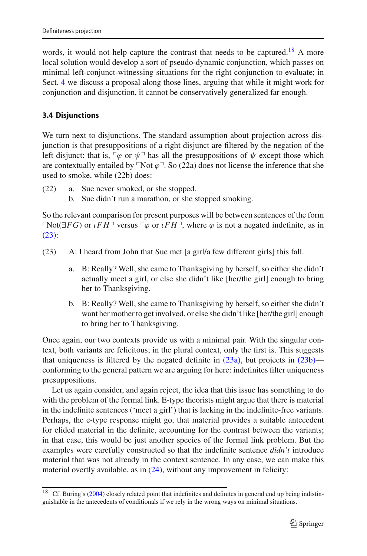words, it would not help capture the contrast that needs to be captured.<sup>[18](#page-14-0)</sup> A more local solution would develop a sort of pseudo-dynamic conjunction, which passes on minimal left-conjunct-witnessing situations for the right conjunction to evaluate; in Sect. [4](#page-18-0) we discuss a proposal along those lines, arguing that while it might work for conjunction and disjunction, it cannot be conservatively generalized far enough.

# <span id="page-14-4"></span>**3.4 Disjunctions**

We turn next to disjunctions. The standard assumption about projection across disjunction is that presuppositions of a right disjunct are filtered by the negation of the left disjunct: that is,  $\lceil \varphi \rceil$  or  $\psi \rceil$  has all the presuppositions of  $\psi$  except those which are contextually entailed by  $\ulcorner \text{Not } \varphi \urcorner$ . So (22a) does not license the inference that she used to smoke, while (22b) does:

- (22) a. Sue never smoked, or she stopped.
	- b. Sue didn't run a marathon, or she stopped smoking.

So the relevant comparison for present purposes will be between sentences of the form  $\ulcorner \text{Not}(\exists FG)$  or  $\iota FH \urcorner$  versus  $\ulcorner \varphi$  or  $\iota FH \urcorner$ , where  $\varphi$  is not a negated indefinite, as in [\(23\):](#page-14-1)

- <span id="page-14-3"></span><span id="page-14-2"></span><span id="page-14-1"></span>(23) A: I heard from John that Sue met [a girl/a few different girls] this fall.
	- a. B: Really? Well, she came to Thanksgiving by herself, so either she didn't actually meet a girl, or else she didn't like [her/the girl] enough to bring her to Thanksgiving.
	- b. B: Really? Well, she came to Thanksgiving by herself, so either she didn't want her mother to get involved, or else she didn't like [her/the girl] enough to bring her to Thanksgiving.

Once again, our two contexts provide us with a minimal pair. With the singular context, both variants are felicitous; in the plural context, only the first is. This suggests that uniqueness is filtered by the negated definite in  $(23a)$ , but projects in  $(23b)$  conforming to the general pattern we are arguing for here: indefinites filter uniqueness presuppositions.

Let us again consider, and again reject, the idea that this issue has something to do with the problem of the formal link. E-type theorists might argue that there is material in the indefinite sentences ('meet a girl') that is lacking in the indefinite-free variants. Perhaps, the e-type response might go, that material provides a suitable antecedent for elided material in the definite, accounting for the contrast between the variants; in that case, this would be just another species of the formal link problem. But the examples were carefully constructed so that the indefinite sentence *didn't* introduce material that was not already in the context sentence. In any case, we can make this material overtly available, as in  $(24)$ , without any improvement in felicity:

<span id="page-14-0"></span><sup>&</sup>lt;sup>18</sup> Cf. Büring's [\(2004\)](#page-31-8) closely related point that indefinites and definites in general end up being indistinguishable in the antecedents of conditionals if we rely in the wrong ways on minimal situations.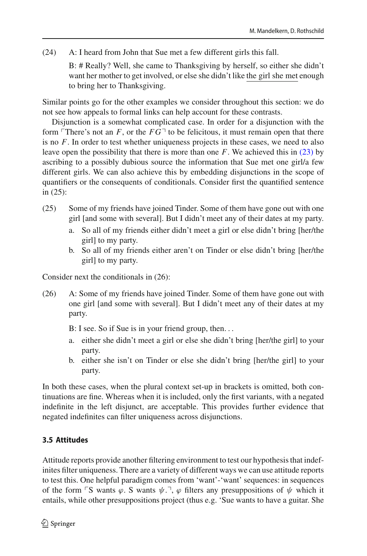<span id="page-15-0"></span>(24) A: I heard from John that Sue met a few different girls this fall.

B: # Really? Well, she came to Thanksgiving by herself, so either she didn't want her mother to get involved, or else she didn't like the girl she met enough to bring her to Thanksgiving.

Similar points go for the other examples we consider throughout this section: we do not see how appeals to formal links can help account for these contrasts.

Disjunction is a somewhat complicated case. In order for a disjunction with the form  $\ulcorner$ There's not an *F*, or the  $FG\urcorner$  to be felicitous, it must remain open that there is no *F*. In order to test whether uniqueness projects in these cases, we need to also leave open the possibility that there is more than one *F*. We achieved this in [\(23\)](#page-14-1) by ascribing to a possibly dubious source the information that Sue met one girl/a few different girls. We can also achieve this by embedding disjunctions in the scope of quantifiers or the consequents of conditionals. Consider first the quantified sentence in (25):

- (25) Some of my friends have joined Tinder. Some of them have gone out with one girl [and some with several]. But I didn't meet any of their dates at my party.
	- a. So all of my friends either didn't meet a girl or else didn't bring [her/the girl] to my party.
	- b. So all of my friends either aren't on Tinder or else didn't bring [her/the girl] to my party.

Consider next the conditionals in (26):

- (26) A: Some of my friends have joined Tinder. Some of them have gone out with one girl [and some with several]. But I didn't meet any of their dates at my party.
	- B: I see. So if Sue is in your friend group, then...
	- a. either she didn't meet a girl or else she didn't bring [her/the girl] to your party.
	- b. either she isn't on Tinder or else she didn't bring [her/the girl] to your party.

In both these cases, when the plural context set-up in brackets is omitted, both continuations are fine. Whereas when it is included, only the first variants, with a negated indefinite in the left disjunct, are acceptable. This provides further evidence that negated indefinites can filter uniqueness across disjunctions.

# <span id="page-15-1"></span>**3.5 Attitudes**

Attitude reports provide another filtering environment to test our hypothesis that indefinites filter uniqueness. There are a variety of different ways we can use attitude reports to test this. One helpful paradigm comes from 'want'-'want' sequences: in sequences of the form  $\ulcorner S$  wants  $\varphi$ . S wants  $\psi$ .  $\neg$ ,  $\varphi$  filters any presuppositions of  $\psi$  which it entails, while other presuppositions project (thus e.g. 'Sue wants to have a guitar. She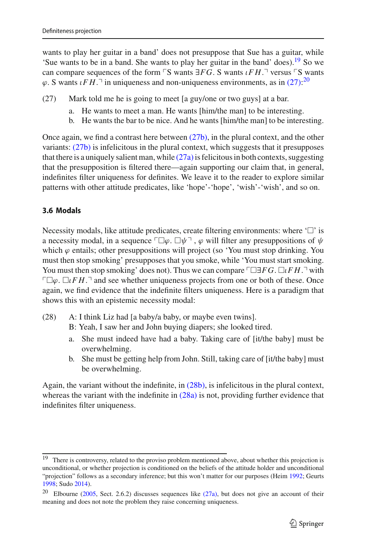wants to play her guitar in a band' does not presuppose that Sue has a guitar, while 'Sue wants to be in a band. She wants to play her guitar in the band' does).<sup>19</sup> So we can compare sequences of the form  $\ulcorner$ S wants  $\exists FG$ . S wants  $\iota FH$ . $\urcorner$  versus  $\ulcorner$ S wants  $\varphi$ . S wants  $\iota FH$ .<sup>-1</sup> in uniqueness and non-uniqueness environments, as in [\(27\):](#page-16-1)<sup>[20](#page-16-2)</sup>

- <span id="page-16-4"></span><span id="page-16-3"></span><span id="page-16-1"></span>(27) Mark told me he is going to meet [a guy/one or two guys] at a bar.
	- a. He wants to meet a man. He wants [him/the man] to be interesting.
	- b. He wants the bar to be nice. And he wants [him/the man] to be interesting.

Once again, we find a contrast here between [\(27b\),](#page-16-3) in the plural context, and the other variants:  $(27b)$  is infelicitous in the plural context, which suggests that it presupposes that there is a uniquely salient man, while  $(27a)$  is felicitous in both contexts, suggesting that the presupposition is filtered there—again supporting our claim that, in general, indefinites filter uniqueness for definites. We leave it to the reader to explore similar patterns with other attitude predicates, like 'hope'-'hope', 'wish'-'wish', and so on.

## <span id="page-16-7"></span>**3.6 Modals**

Necessity modals, like attitude predicates, create filtering environments: where  $\Box$  is a necessity modal, in a sequence  $\ulcorner \Box \varphi$ .  $\Box \psi \urcorner$  ,  $\varphi$  will filter any presuppositions of  $\psi$ which  $\varphi$  entails; other presuppositions will project (so 'You must stop drinking. You must then stop smoking' presupposes that you smoke, while 'You must start smoking. You must then stop smoking' does not). Thus we can compare <sup>Γ</sup>□∃*FG*. □*ιFH*. with  $\Box \varphi$ .  $\Box tFH$ .<sup> $\Box$ </sup> and see whether uniqueness projects from one or both of these. Once again, we find evidence that the indefinite filters uniqueness. Here is a paradigm that shows this with an epistemic necessity modal:

- <span id="page-16-6"></span><span id="page-16-5"></span>(28) A: I think Liz had [a baby/a baby, or maybe even twins].
	- B: Yeah, I saw her and John buying diapers; she looked tired.
	- a. She must indeed have had a baby. Taking care of [it/the baby] must be overwhelming.
	- b. She must be getting help from John. Still, taking care of [it/the baby] must be overwhelming.

Again, the variant without the indefinite, in  $(28b)$ , is infelicitous in the plural context, whereas the variant with the indefinite in  $(28a)$  is not, providing further evidence that indefinites filter uniqueness.

<span id="page-16-0"></span><sup>&</sup>lt;sup>19</sup> There is controversy, related to the proviso problem mentioned above, about whether this projection is unconditional, or whether projection is conditioned on the beliefs of the attitude holder and unconditional "projection" follows as a secondary inference; but this won't matter for our purposes (Heim [1992;](#page-31-25) Geurts [1998;](#page-31-26) Sudo [2014](#page-32-16)).

<span id="page-16-2"></span><sup>&</sup>lt;sup>20</sup> Elbourne [\(2005,](#page-31-9) Sect. 2.6.2) discusses sequences like [\(27a\),](#page-16-4) but does not give an account of their meaning and does not note the problem they raise concerning uniqueness.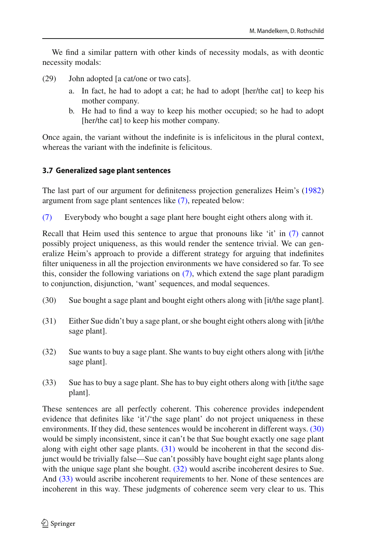We find a similar pattern with other kinds of necessity modals, as with deontic necessity modals:

(29) John adopted [a cat/one or two cats].

- a. In fact, he had to adopt a cat; he had to adopt [her/the cat] to keep his mother company.
- b. He had to find a way to keep his mother occupied; so he had to adopt [her/the cat] to keep his mother company.

Once again, the variant without the indefinite is is infelicitous in the plural context, whereas the variant with the indefinite is felicitous.

# **3.7 Generalized sage plant sentences**

The last part of our argument for definiteness projection generalizes Heim's [\(1982\)](#page-31-2) argument from sage plant sentences like [\(7\),](#page-4-3) repeated below:

[\(7\)](#page-4-3) Everybody who bought a sage plant here bought eight others along with it.

Recall that Heim used this sentence to argue that pronouns like 'it' in [\(7\)](#page-4-3) cannot possibly project uniqueness, as this would render the sentence trivial. We can generalize Heim's approach to provide a different strategy for arguing that indefinites filter uniqueness in all the projection environments we have considered so far. To see this, consider the following variations on  $(7)$ , which extend the sage plant paradigm to conjunction, disjunction, 'want' sequences, and modal sequences.

- <span id="page-17-1"></span><span id="page-17-0"></span>(30) Sue bought a sage plant and bought eight others along with [it/the sage plant].
- <span id="page-17-2"></span>(31) Either Sue didn't buy a sage plant, or she bought eight others along with [it/the sage plant].
- <span id="page-17-3"></span>(32) Sue wants to buy a sage plant. She wants to buy eight others along with [it/the sage plant].
- (33) Sue has to buy a sage plant. She has to buy eight others along with [it/the sage plant].

These sentences are all perfectly coherent. This coherence provides independent evidence that definites like 'it'/'the sage plant' do not project uniqueness in these environments. If they did, these sentences would be incoherent in different ways. [\(30\)](#page-17-0) would be simply inconsistent, since it can't be that Sue bought exactly one sage plant along with eight other sage plants. [\(31\)](#page-17-1) would be incoherent in that the second disjunct would be trivially false—Sue can't possibly have bought eight sage plants along with the unique sage plant she bought. [\(32\)](#page-17-2) would ascribe incoherent desires to Sue. And [\(33\)](#page-17-3) would ascribe incoherent requirements to her. None of these sentences are incoherent in this way. These judgments of coherence seem very clear to us. This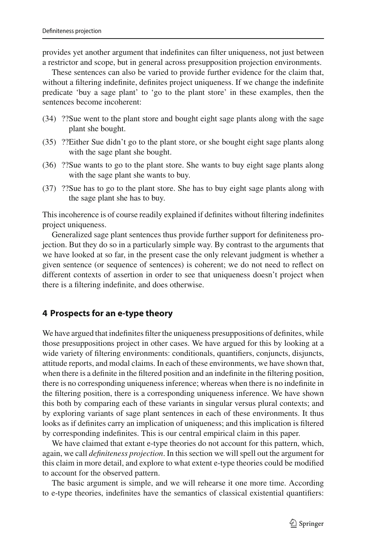provides yet another argument that indefinites can filter uniqueness, not just between a restrictor and scope, but in general across presupposition projection environments.

These sentences can also be varied to provide further evidence for the claim that, without a filtering indefinite, definites project uniqueness. If we change the indefinite predicate 'buy a sage plant' to 'go to the plant store' in these examples, then the sentences become incoherent:

- (34) ??Sue went to the plant store and bought eight sage plants along with the sage plant she bought.
- (35) ??Either Sue didn't go to the plant store, or she bought eight sage plants along with the sage plant she bought.
- (36) ??Sue wants to go to the plant store. She wants to buy eight sage plants along with the sage plant she wants to buy.
- (37) ??Sue has to go to the plant store. She has to buy eight sage plants along with the sage plant she has to buy.

This incoherence is of course readily explained if definites without filtering indefinites project uniqueness.

Generalized sage plant sentences thus provide further support for definiteness projection. But they do so in a particularly simple way. By contrast to the arguments that we have looked at so far, in the present case the only relevant judgment is whether a given sentence (or sequence of sentences) is coherent; we do not need to reflect on different contexts of assertion in order to see that uniqueness doesn't project when there is a filtering indefinite, and does otherwise.

#### <span id="page-18-0"></span>**4 Prospects for an e-type theory**

We have argued that indefinites filter the uniqueness presuppositions of definites, while those presuppositions project in other cases. We have argued for this by looking at a wide variety of filtering environments: conditionals, quantifiers, conjuncts, disjuncts, attitude reports, and modal claims. In each of these environments, we have shown that, when there is a definite in the filtered position and an indefinite in the filtering position, there is no corresponding uniqueness inference; whereas when there is no indefinite in the filtering position, there is a corresponding uniqueness inference. We have shown this both by comparing each of these variants in singular versus plural contexts; and by exploring variants of sage plant sentences in each of these environments. It thus looks as if definites carry an implication of uniqueness; and this implication is filtered by corresponding indefinites. This is our central empirical claim in this paper.

We have claimed that extant e-type theories do not account for this pattern, which, again, we call *definiteness projection*. In this section we will spell out the argument for this claim in more detail, and explore to what extent e-type theories could be modified to account for the observed pattern.

The basic argument is simple, and we will rehearse it one more time. According to e-type theories, indefinites have the semantics of classical existential quantifiers: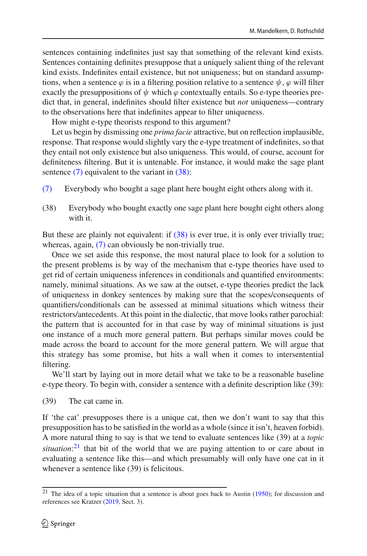sentences containing indefinites just say that something of the relevant kind exists. Sentences containing definites presuppose that a uniquely salient thing of the relevant kind exists. Indefinites entail existence, but not uniqueness; but on standard assumptions, when a sentence  $\varphi$  is in a filtering position relative to a sentence  $\psi$ ,  $\varphi$  will filter exactly the presuppositions of  $\psi$  which  $\varphi$  contextually entails. So e-type theories predict that, in general, indefinites should filter existence but *not* uniqueness—contrary to the observations here that indefinites appear to filter uniqueness.

How might e-type theorists respond to this argument?

Let us begin by dismissing one *prima facie* attractive, but on reflection implausible, response. That response would slightly vary the e-type treatment of indefinites, so that they entail not only existence but also uniqueness. This would, of course, account for definiteness filtering. But it is untenable. For instance, it would make the sage plant sentence [\(7\)](#page-4-3) equivalent to the variant in [\(38\):](#page-19-0)

- <span id="page-19-0"></span>[\(7\)](#page-4-3) Everybody who bought a sage plant here bought eight others along with it.
- (38) Everybody who bought exactly one sage plant here bought eight others along with it.

But these are plainly not equivalent: if [\(38\)](#page-19-0) is ever true, it is only ever trivially true; whereas, again, [\(7\)](#page-4-3) can obviously be non-trivially true.

Once we set aside this response, the most natural place to look for a solution to the present problems is by way of the mechanism that e-type theories have used to get rid of certain uniqueness inferences in conditionals and quantified environments: namely, minimal situations. As we saw at the outset, e-type theories predict the lack of uniqueness in donkey sentences by making sure that the scopes/consequents of quantifiers/conditionals can be assessed at minimal situations which witness their restrictors/antecedents. At this point in the dialectic, that move looks rather parochial: the pattern that is accounted for in that case by way of minimal situations is just one instance of a much more general pattern. But perhaps similar moves could be made across the board to account for the more general pattern. We will argue that this strategy has some promise, but hits a wall when it comes to intersentential filtering.

<span id="page-19-2"></span>We'll start by laying out in more detail what we take to be a reasonable baseline e-type theory. To begin with, consider a sentence with a definite description like (39):

(39) The cat came in.

If 'the cat' presupposes there is a unique cat, then we don't want to say that this presupposition has to be satisfied in the world as a whole (since it isn't, heaven forbid). A more natural thing to say is that we tend to evaluate sentences like (39) at a *topic situation*: [21](#page-19-1) that bit of the world that we are paying attention to or care about in evaluating a sentence like this—and which presumably will only have one cat in it whenever a sentence like (39) is felicitous.

<span id="page-19-1"></span> $21$  The idea of a topic situatio[n](#page-30-1) that a sentence is about goes back to Austin [\(1950](#page-30-1)); for discussion and references see Kratzer [\(2019](#page-32-17), Sect. 3).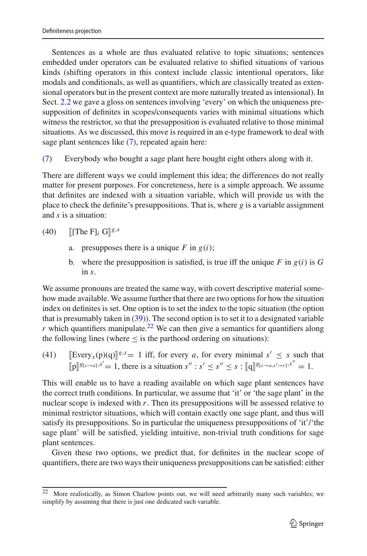Sentences as a whole are thus evaluated relative to topic situations; sentences embedded under operators can be evaluated relative to shifted situations of various kinds (shifting operators in this context include classic intentional operators, like modals and conditionals, as well as quantifiers, which are classically treated as extensional operators but in the present context are more naturally treated as intensional). In Sect. [2.2](#page-4-4) we gave a gloss on sentences involving 'every' on which the uniqueness presupposition of definites in scopes/consequents varies with minimal situations which witness the restrictor, so that the presupposition is evaluated relative to those minimal situations. As we discussed, this move is required in an e-type framework to deal with sage plant sentences like  $(7)$ , repeated again here:

[\(7\)](#page-4-3) Everybody who bought a sage plant here bought eight others along with it.

There are different ways we could implement this idea; the differences do not really matter for present purposes. For concreteness, here is a simple approach. We assume that definites are indexed with a situation variable, which will provide us with the place to check the definite's presuppositions. That is, where *g* is a variable assignment and *s* is a situation:

 $(40)$  $[[\text{The } F]$ *i*  $G$  $]$ <sup>g,s</sup>

- a. presupposes there is a unique  $F$  in  $g(i)$ ;
- b. where the presupposition is satisfied, is true iff the unique  $F$  in  $g(i)$  is  $G$ in *s*.

We assume pronouns are treated the same way, with covert descriptive material somehow made available. We assume further that there are two options for how the situation index on definites is set. One option is to set the index to the topic situation (the option that is presumably taken in  $(39)$ ). The second option is to set it to a designated variable *r* which quantifiers manipulate.<sup>[22](#page-20-0)</sup> We can then give a semantics for quantifiers along the following lines (where  $\leq$  is the parthood ordering on situations):

(41) 
$$
[\text{Every}_x(p)(q)]^{g,s} = 1
$$
 iff, for every *a*, for every minimal  $s' \leq s$  such that  $[p]^{g[x \to a], s'} = 1$ , there is a situation  $s'' : s' \leq s'' \leq s : [q]^{g[x \to a, s' \to r]}, s'' = 1$ .

This will enable us to have a reading available on which sage plant sentences have the correct truth conditions. In particular, we assume that 'it' or 'the sage plant' in the nuclear scope is indexed with *r*. Then its presuppositions will be assessed relative to minimal restrictor situations, which will contain exactly one sage plant, and thus will satisfy its presuppositions. So in particular the uniqueness presuppositions of 'it'/'the sage plant' will be satisfied, yielding intuitive, non-trivial truth conditions for sage plant sentences.

Given these two options, we predict that, for definites in the nuclear scope of quantifiers, there are two ways their uniqueness presuppositions can be satisfied: either

<span id="page-20-0"></span> $22$  More realistically, as Simon Charlow points out, we will need arbitrarily many such variables; we simplify by assuming that there is just one dedicated such variable.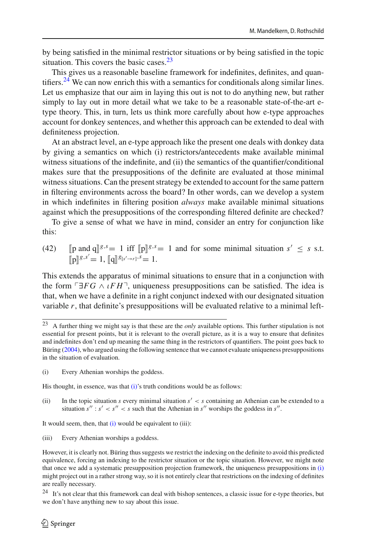by being satisfied in the minimal restrictor situations or by being satisfied in the topic situation. This covers the basic cases. $2<sup>3</sup>$ 

This gives us a reasonable baseline framework for indefinites, definites, and quantifiers.<sup>24</sup> We can now enrich this with a semantics for conditionals along similar lines. Let us emphasize that our aim in laying this out is not to do anything new, but rather simply to lay out in more detail what we take to be a reasonable state-of-the-art etype theory. This, in turn, lets us think more carefully about how e-type approaches account for donkey sentences, and whether this approach can be extended to deal with definiteness projection.

At an abstract level, an e-type approach like the present one deals with donkey data by giving a semantics on which (i) restrictors/antecedents make available minimal witness situations of the indefinite, and (ii) the semantics of the quantifier/conditional makes sure that the presuppositions of the definite are evaluated at those minimal witness situations. Can the present strategy be extended to account for the same pattern in filtering environments across the board? In other words, can we develop a system in which indefinites in filtering position *always* make available minimal situations against which the presuppositions of the corresponding filtered definite are checked?

<span id="page-21-3"></span>To give a sense of what we have in mind, consider an entry for conjunction like this:

(42) 
$$
[\![p \text{ and } q]\!]^{g,s} = 1
$$
 iff  $[\![p]\!]^{g,s} = 1$  and for some minimal situation  $s' \leq s$  s.t.  $[\![p]\!]^{g,s'} = 1$ ,  $[\![q]\!]^{g[s'\to r]},^s = 1$ .

This extends the apparatus of minimal situations to ensure that in a conjunction with the form  $\Box FG \land \iota FH$ , uniqueness presuppositions can be satisfied. The idea is that, when we have a definite in a right conjunct indexed with our designated situation variable *r*, that definite's presuppositions will be evaluated relative to a minimal left-

His thought, in essence, was that  $(i)$ 's truth conditions would be as follows:

(ii) In the topic situation *s* every minimal situation  $s' < s$  containing an Athenian can be extended to a situation  $s'' : s' < s'' < s$  such that the Athenian in  $s''$  worships the goddess in  $s''$ .

It would seem, then, that  $(i)$  would be equivalent to  $(iii)$ :

(iii) Every Athenian worships a goddess.

<span id="page-21-0"></span><sup>23</sup> A further thing we might say is that these are the *only* available options. This further stipulation is not essential for present points, but it is relevant to the overall picture, as it is a way to ensure that definites and indefinites don't end up meaning the same thing in the restrictors of quantifiers. The point goes back to Bürin[g](#page-31-8) [\(2004\)](#page-31-8), who argued using the following sentence that we cannot evaluate uniqueness presuppositions in the situation of evaluation.

<span id="page-21-2"></span><sup>(</sup>i) Every Athenian worships the goddess.

However, it is clearly not. Büring thus suggests we restrict the indexing on the definite to avoid this predicted equivalence, forcing an indexing to the restrictor situation or the topic situation. However, we might note that once we add a systematic presupposition projection framework, the uniqueness presuppositions in [\(i\)](#page-21-2) might project out in a rather strong way, so it is not entirely clear that restrictions on the indexing of definites are really necessary.

<span id="page-21-1"></span><sup>&</sup>lt;sup>24</sup> It's not clear that this framework can deal with bishop sentences, a classic issue for e-type theories, but we don't have anything new to say about this issue.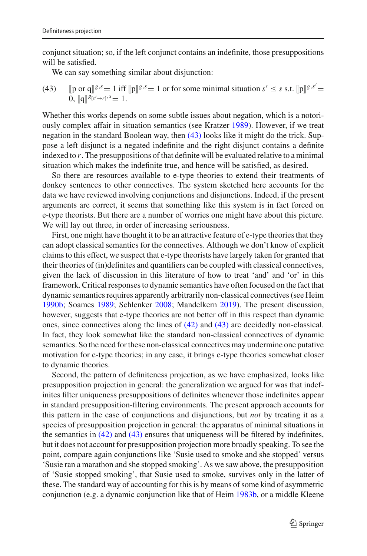conjunct situation; so, if the left conjunct contains an indefinite, those presuppositions will be satisfied.

<span id="page-22-0"></span>We can say something similar about disjunction:

(43) 
$$
\text{[p or q]}g^{s,s} = 1 \text{ iff } \text{[p]}g^{s,s} = 1 \text{ or for some minimal situation } s' \leq s \text{ s.t. } \text{[p]}g^{s,s'} = 0, \text{[q]}g^{s(s'-r)} = 1.
$$

Whether this works depends on some subtle issues about negation, which is a notoriously complex affair in situation semantics (see Kratze[r](#page-32-8) [1989\)](#page-32-8). However, if we treat negation in the standard Boolean way, then [\(43\)](#page-22-0) looks like it might do the trick. Suppose a left disjunct is a negated indefinite and the right disjunct contains a definite indexed to *r*. The presuppositions of that definite will be evaluated relative to a minimal situation which makes the indefinite true, and hence will be satisfied, as desired.

So there are resources available to e-type theories to extend their treatments of donkey sentences to other connectives. The system sketched here accounts for the data we have reviewed involving conjunctions and disjunctions. Indeed, if the present arguments are correct, it seems that something like this system is in fact forced on e-type theorists. But there are a number of worries one might have about this picture. We will lay out three, in order of increasing seriousness.

First, one might have thought it to be an attractive feature of e-type theories that they can adopt classical semantics for the connectives. Although we don't know of explicit claims to this effect, we suspect that e-type theorists have largely taken for granted that their theories of (in)definites and quantifiers can be coupled with classical connectives, given the lack of discussion in this literature of how to treat 'and' and 'or' in this framework. Critical responses to dynamic semantics have often focused on the fact that dynamic semantics requires apparently arbitrarily non-classical connectives (see Hei[m](#page-31-27) [1990b;](#page-31-27) Soame[s](#page-32-18) [1989](#page-32-18); Schlenke[r](#page-32-19) [2008;](#page-32-19) Mandelker[n](#page-32-20) [2019](#page-32-20)). The present discussion, however, suggests that e-type theories are not better off in this respect than dynamic ones, since connectives along the lines of [\(42\)](#page-21-3) and [\(43\)](#page-22-0) are decidedly non-classical. In fact, they look somewhat like the standard non-classical connectives of dynamic semantics. So the need for these non-classical connectives may undermine one putative motivation for e-type theories; in any case, it brings e-type theories somewhat closer to dynamic theories.

Second, the pattern of definiteness projection, as we have emphasized, looks like presupposition projection in general: the generalization we argued for was that indefinites filter uniqueness presuppositions of definites whenever those indefinites appear in standard presupposition-filtering environments. The present approach accounts for this pattern in the case of conjunctions and disjunctions, but *not* by treating it as a species of presupposition projection in general: the apparatus of minimal situations in the semantics in  $(42)$  and  $(43)$  ensures that uniqueness will be filtered by indefinites, but it does not account for presupposition projection more broadly speaking. To see the point, compare again conjunctions like 'Susie used to smoke and she stopped' versus 'Susie ran a marathon and she stopped smoking'. As we saw above, the presupposition of 'Susie stopped smoking', that Susie used to smoke, survives only in the latter of these. The standard way of accounting for this is by means of some kind of asymmetric conjunction (e.g. a dynamic conjunction like that of Hei[m](#page-31-13) [1983b,](#page-31-13) or a middle Kleene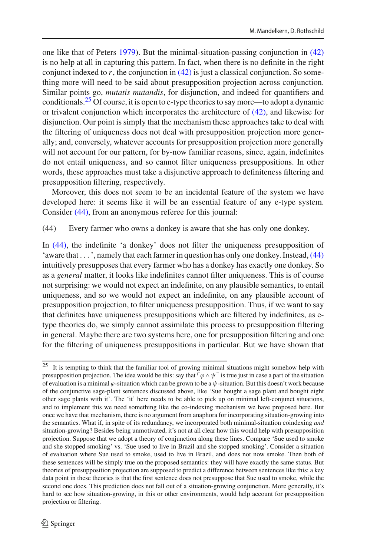one like that of Peter[s](#page-32-21) [1979](#page-32-21)). But the minimal-situation-passing conjunction in [\(42\)](#page-21-3) is no help at all in capturing this pattern. In fact, when there is no definite in the right conjunct indexed to  $r$ , the conjunction in  $(42)$  is just a classical conjunction. So something more will need to be said about presupposition projection across conjunction. Similar points go, *mutatis mutandis*, for disjunction, and indeed for quantifiers and conditionals[.25](#page-23-0) Of course, it is open to e-type theories to say more—to adopt a dynamic or trivalent conjunction which incorporates the architecture of  $(42)$ , and likewise for disjunction. Our point is simply that the mechanism these approaches take to deal with the filtering of uniqueness does not deal with presupposition projection more generally; and, conversely, whatever accounts for presupposition projection more generally will not account for our pattern, for by-now familiar reasons, since, again, indefinites do not entail uniqueness, and so cannot filter uniqueness presuppositions. In other words, these approaches must take a disjunctive approach to definiteness filtering and presupposition filtering, respectively.

Moreover, this does not seem to be an incidental feature of the system we have developed here: it seems like it will be an essential feature of any e-type system. Consider [\(44\),](#page-23-1) from an anonymous referee for this journal:

<span id="page-23-1"></span>(44) Every farmer who owns a donkey is aware that she has only one donkey.

In [\(44\),](#page-23-1) the indefinite 'a donkey' does not filter the uniqueness presupposition of 'aware that  $\dots$ ', namely that each farmer in question has only one donkey. Instead,  $(44)$ intuitively presupposes that every farmer who has a donkey has exactly one donkey. So as a *general* matter, it looks like indefinites cannot filter uniqueness. This is of course not surprising: we would not expect an indefinite, on any plausible semantics, to entail uniqueness, and so we would not expect an indefinite, on any plausible account of presupposition projection, to filter uniqueness presupposition. Thus, if we want to say that definites have uniqueness presuppositions which are filtered by indefinites, as etype theories do, we simply cannot assimilate this process to presupposition filtering in general. Maybe there are two systems here, one for presupposition filtering and one for the filtering of uniqueness presuppositions in particular. But we have shown that

<span id="page-23-0"></span><sup>25</sup> It is tempting to think that the familiar tool of growing minimal situations might somehow help with presupposition projection. The idea would be this: say that  $\lceil \varphi \wedge \psi \rceil$  is true just in case a part of the situation of evaluation is a minimal  $\varphi$ -situation which can be grown to be a  $\psi$ -situation. But this doesn't work because of the conjunctive sage-plant sentences discussed above, like 'Sue bought a sage plant and bought eight other sage plants with it'. The 'it' here needs to be able to pick up on minimal left-conjunct situations, and to implement this we need something like the co-indexing mechanism we have proposed here. But once we have that mechanism, there is no argument from anaphora for incorporating situation-growing into the semantics. What if, in spite of its redundancy, we incorporated both minimal-situation coindexing *and* situation-growing? Besides being unmotivated, it's not at all clear how this would help with presupposition projection. Suppose that we adopt a theory of conjunction along these lines. Compare 'Sue used to smoke and she stopped smoking' vs. 'Sue used to live in Brazil and she stopped smoking'. Consider a situation of evaluation where Sue used to smoke, used to live in Brazil, and does not now smoke. Then both of these sentences will be simply true on the proposed semantics: they will have exactly the same status. But theories of presupposition projection are supposed to predict a difference between sentences like this: a key data point in these theories is that the first sentence does not presuppose that Sue used to smoke, while the second one does. This prediction does not fall out of a situation-growing conjunction. More generally, it's hard to see how situation-growing, in this or other environments, would help account for presupposition projection or filtering.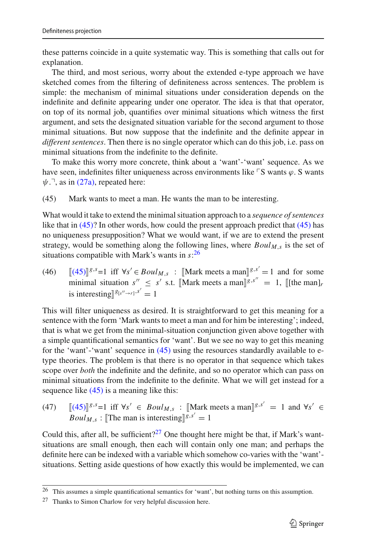these patterns coincide in a quite systematic way. This is something that calls out for explanation.

The third, and most serious, worry about the extended e-type approach we have sketched comes from the filtering of definiteness across sentences. The problem is simple: the mechanism of minimal situations under consideration depends on the indefinite and definite appearing under one operator. The idea is that that operator, on top of its normal job, quantifies over minimal situations which witness the first argument, and sets the designated situation variable for the second argument to those minimal situations. But now suppose that the indefinite and the definite appear in *different sentences*. Then there is no single operator which can do this job, i.e. pass on minimal situations from the indefinite to the definite.

To make this worry more concrete, think about a 'want'-'want' sequence. As we have seen, indefinites filter uniqueness across environments like  $\ulcorner$ S wants  $\varphi$ . S wants  $\psi$ .<sup>-1</sup>, as in [\(27a\),](#page-16-4) repeated here:

<span id="page-24-0"></span>(45) Mark wants to meet a man. He wants the man to be interesting.

What would it take to extend the minimal situation approach to a *sequence of sentences* like that in  $(45)$ ? In other words, how could the present approach predict that  $(45)$  has no uniqueness presupposition? What we would want, if we are to extend the present strategy, would be something along the following lines, where  $Boul<sub>M,s</sub>$  is the set of situations compatible with Mark's wants in *s*: [26](#page-24-1)

<span id="page-24-4"></span> $(46)$  $(45)$ <sup>[*g*,*s*</sup> = 1 iff ∀*s'* ∈ *Boul<sub>M,s</sub>* : [Mark meets a man]<sup>*g*</sup>,<sup>*s'*</sup> = 1 and for some minimal situation  $s'' \leq s'$  s.t. [Mark meets a man]<sup>*g*,*s''* = 1, [[the man]*r*</sup> is interesting  $\int_0^{\frac{g(s' \rightarrow r)}{s}}$  = 1

This will filter uniqueness as desired. It is straightforward to get this meaning for a sentence with the form 'Mark wants to meet a man and for him be interesting'; indeed, that is what we get from the minimal-situation conjunction given above together with a simple quantificational semantics for 'want'. But we see no way to get this meaning for the 'want'-'want' sequence in  $(45)$  using the resources standardly available to etype theories. The problem is that there is no operator in that sequence which takes scope over *both* the indefinite and the definite, and so no operator which can pass on minimal situations from the indefinite to the definite. What we will get instead for a sequence like  $(45)$  is a meaning like this:

<span id="page-24-3"></span> $(47)$  $(45)$ <sup>*g*</sup>,<sup>*s*</sup> = 1 iff  $\forall s' \in \text{Boul}_{M,s}$ : [Mark meets a man]<sup>*g*</sup>,<sup>*s'*</sup> = 1 and  $\forall s' \in$  $Boul_{M,s}$ : [The man is interesting] $g^{s,s'} = 1$ 

Could this, after all, be sufficient?<sup>27</sup> One thought here might be that, if Mark's wantsituations are small enough, then each will contain only one man; and perhaps the definite here can be indexed with a variable which somehow co-varies with the 'want' situations. Setting aside questions of how exactly this would be implemented, we can

<span id="page-24-1"></span><sup>26</sup> This assumes a simple quantificational semantics for 'want', but nothing turns on this assumption.

<span id="page-24-2"></span><sup>27</sup> Thanks to Simon Charlow for very helpful discussion here.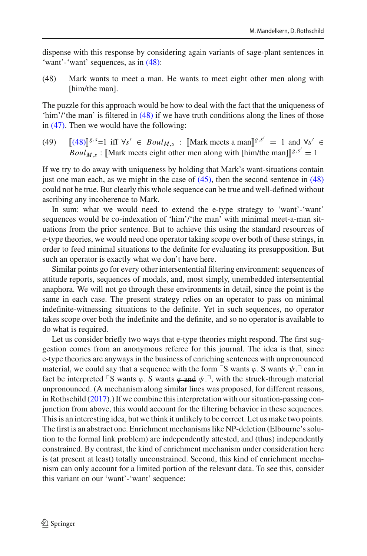<span id="page-25-0"></span>dispense with this response by considering again variants of sage-plant sentences in 'want'-'want' sequences, as in [\(48\):](#page-25-0)

(48) Mark wants to meet a man. He wants to meet eight other men along with [him/the man].

The puzzle for this approach would be how to deal with the fact that the uniqueness of 'him'/'the man' is filtered in [\(48\)](#page-25-0) if we have truth conditions along the lines of those in [\(47\).](#page-24-3) Then we would have the following:

 $(49)$  $(48)$ <sup>*g*</sup>,<sup>*s*</sup> = 1 iff  $\forall s' \in \text{Boul}_{M,s}$ : [Mark meets a man]<sup>*g*</sup>,<sup>*s'*</sup> = 1 and  $\forall s' \in$ *Boul<sub>M,s</sub>*: [Mark meets eight other men along with [him/the man]]<sup>*g*,*s'*</sup> = 1

If we try to do away with uniqueness by holding that Mark's want-situations contain just one man each, as we might in the case of  $(45)$ , then the second sentence in  $(48)$ could not be true. But clearly this whole sequence can be true and well-defined without ascribing any incoherence to Mark.

In sum: what we would need to extend the e-type strategy to 'want'-'want' sequences would be co-indexation of 'him'/'the man' with minimal meet-a-man situations from the prior sentence. But to achieve this using the standard resources of e-type theories, we would need one operator taking scope over both of these strings, in order to feed minimal situations to the definite for evaluating its presupposition. But such an operator is exactly what we don't have here.

Similar points go for every other intersentential filtering environment: sequences of attitude reports, sequences of modals, and, most simply, unembedded intersentential anaphora. We will not go through these environments in detail, since the point is the same in each case. The present strategy relies on an operator to pass on minimal indefinite-witnessing situations to the definite. Yet in such sequences, no operator takes scope over both the indefinite and the definite, and so no operator is available to do what is required.

Let us consider briefly two ways that e-type theories might respond. The first suggestion comes from an anonymous referee for this journal. The idea is that, since e-type theories are anyways in the business of enriching sentences with unpronounced material, we could say that a sequence with the form  $\ulcorner S$  wants  $\varphi$ . S wants  $\psi$ .  $\urcorner$  can in fact be interpreted  $\ulcorner S$  wants  $\varphi$ . S wants  $\varphi$  and  $\psi$ .  $\neg$ , with the struck-through material unpronounced. (A mechanism along similar lines was proposed, for different reasons, in Rothschil[d](#page-32-1) [\(2017\)](#page-32-1).) If we combine this interpretation with our situation-passing conjunction from above, this would account for the filtering behavior in these sequences. This is an interesting idea, but we think it unlikely to be correct. Let us make two points. The first is an abstract one. Enrichment mechanisms like NP-deletion (Elbourne's solution to the formal link problem) are independently attested, and (thus) independently constrained. By contrast, the kind of enrichment mechanism under consideration here is (at present at least) totally unconstrained. Second, this kind of enrichment mechanism can only account for a limited portion of the relevant data. To see this, consider this variant on our 'want'-'want' sequence: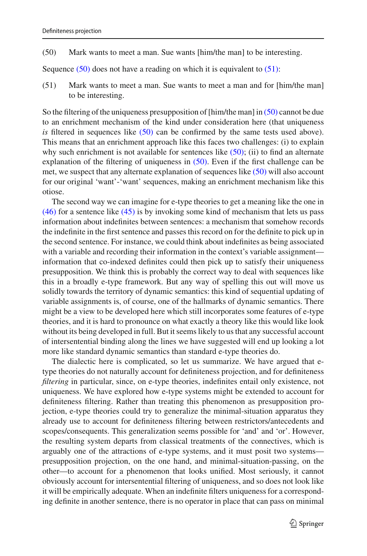<span id="page-26-0"></span>(50) Mark wants to meet a man. Sue wants [him/the man] to be interesting.

<span id="page-26-1"></span>Sequence  $(50)$  does not have a reading on which it is equivalent to  $(51)$ :

(51) Mark wants to meet a man. Sue wants to meet a man and for [him/the man] to be interesting.

So the filtering of the uniqueness presupposition of  $[\text{him/the man}]$  in  $(50)$  cannot be due to an enrichment mechanism of the kind under consideration here (that uniqueness *is* filtered in sequences like  $(50)$  can be confirmed by the same tests used above). This means that an enrichment approach like this faces two challenges: (i) to explain why such enrichment is not available for sentences like  $(50)$ ; (ii) to find an alternate explanation of the filtering of uniqueness in [\(50\).](#page-26-0) Even if the first challenge can be met, we suspect that any alternate explanation of sequences like [\(50\)](#page-26-0) will also account for our original 'want'-'want' sequences, making an enrichment mechanism like this otiose.

The second way we can imagine for e-type theories to get a meaning like the one in [\(46\)](#page-24-4) for a sentence like [\(45\)](#page-24-0) is by invoking some kind of mechanism that lets us pass information about indefinites between sentences: a mechanism that somehow records the indefinite in the first sentence and passes this record on for the definite to pick up in the second sentence. For instance, we could think about indefinites as being associated with a variable and recording their information in the context's variable assignment information that co-indexed definites could then pick up to satisfy their uniqueness presupposition. We think this is probably the correct way to deal with sequences like this in a broadly e-type framework. But any way of spelling this out will move us solidly towards the territory of dynamic semantics: this kind of sequential updating of variable assignments is, of course, one of the hallmarks of dynamic semantics. There might be a view to be developed here which still incorporates some features of e-type theories, and it is hard to pronounce on what exactly a theory like this would like look without its being developed in full. But it seems likely to us that any successful account of intersentential binding along the lines we have suggested will end up looking a lot more like standard dynamic semantics than standard e-type theories do.

The dialectic here is complicated, so let us summarize. We have argued that etype theories do not naturally account for definiteness projection, and for definiteness *filtering* in particular, since, on e-type theories, indefinites entail only existence, not uniqueness. We have explored how e-type systems might be extended to account for definiteness filtering. Rather than treating this phenomenon as presupposition projection, e-type theories could try to generalize the minimal-situation apparatus they already use to account for definiteness filtering between restrictors/antecedents and scopes/consequents. This generalization seems possible for 'and' and 'or'. However, the resulting system departs from classical treatments of the connectives, which is arguably one of the attractions of e-type systems, and it must posit two systems presupposition projection, on the one hand, and minimal-situation-passing, on the other—to account for a phenomenon that looks unified. Most seriously, it cannot obviously account for intersentential filtering of uniqueness, and so does not look like it will be empirically adequate. When an indefinite filters uniqueness for a corresponding definite in another sentence, there is no operator in place that can pass on minimal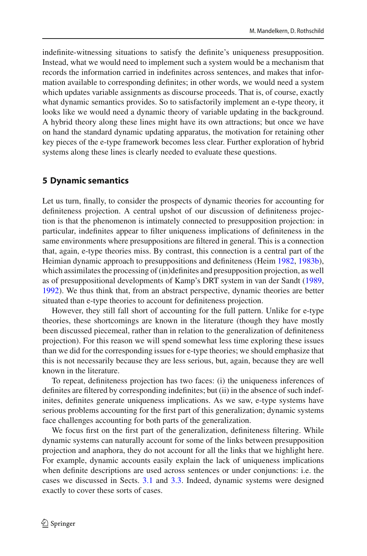indefinite-witnessing situations to satisfy the definite's uniqueness presupposition. Instead, what we would need to implement such a system would be a mechanism that records the information carried in indefinites across sentences, and makes that information available to corresponding definites; in other words, we would need a system which updates variable assignments as discourse proceeds. That is, of course, exactly what dynamic semantics provides. So to satisfactorily implement an e-type theory, it looks like we would need a dynamic theory of variable updating in the background. A hybrid theory along these lines might have its own attractions; but once we have on hand the standard dynamic updating apparatus, the motivation for retaining other key pieces of the e-type framework becomes less clear. Further exploration of hybrid systems along these lines is clearly needed to evaluate these questions.

#### **5 Dynamic semantics**

Let us turn, finally, to consider the prospects of dynamic theories for accounting for definiteness projection. A central upshot of our discussion of definiteness projection is that the phenomenon is intimately connected to presupposition projection: in particular, indefinites appear to filter uniqueness implications of definiteness in the same environments where presuppositions are filtered in general. This is a connection that, again, e-type theories miss. By contrast, this connection is a central part of the Heimian dynamic approach to presuppositions and definiteness (Heim [1982](#page-31-2), [1983b](#page-31-13)), which assimilates the processing of (in)definites and presupposition projection, as well as of presuppositional developments of Kamp's DRT system in van der Sandt [\(1989,](#page-32-22) [1992\)](#page-32-23). We thus think that, from an abstract perspective, dynamic theories are better situated than e-type theories to account for definiteness projection.

However, they still fall short of accounting for the full pattern. Unlike for e-type theories, these shortcomings are known in the literature (though they have mostly been discussed piecemeal, rather than in relation to the generalization of definiteness projection). For this reason we will spend somewhat less time exploring these issues than we did for the corresponding issues for e-type theories; we should emphasize that this is not necessarily because they are less serious, but, again, because they are well known in the literature.

To repeat, definiteness projection has two faces: (i) the uniqueness inferences of definites are filtered by corresponding indefinites; but (ii) in the absence of such indefinites, definites generate uniqueness implications. As we saw, e-type systems have serious problems accounting for the first part of this generalization; dynamic systems face challenges accounting for both parts of the generalization.

We focus first on the first part of the generalization, definiteness filtering. While dynamic systems can naturally account for some of the links between presupposition projection and anaphora, they do not account for all the links that we highlight here. For example, dynamic accounts easily explain the lack of uniqueness implications when definite descriptions are used across sentences or under conjunctions: i.e. the cases we discussed in Sects. [3.1](#page-7-5) and [3.3.](#page-10-2) Indeed, dynamic systems were designed exactly to cover these sorts of cases.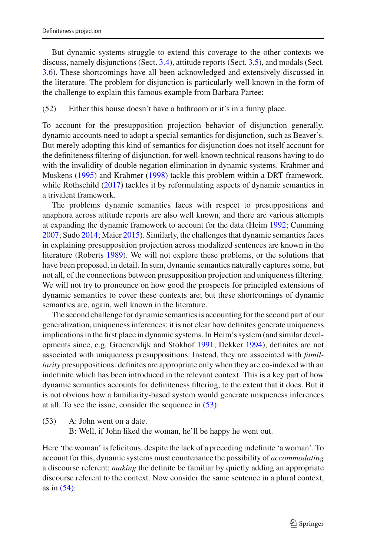But dynamic systems struggle to extend this coverage to the other contexts we discuss, namely disjunctions (Sect. [3.4\)](#page-14-4), attitude reports (Sect. [3.5\)](#page-15-1), and modals (Sect. [3.6\)](#page-16-7). These shortcomings have all been acknowledged and extensively discussed in the literature. The problem for disjunction is particularly well known in the form of the challenge to explain this famous example from Barbara Partee:

### (52) Either this house doesn't have a bathroom or it's in a funny place.

To account for the presupposition projection behavior of disjunction generally, dynamic accounts need to adopt a special semantics for disjunction, such as Beaver's. But merely adopting this kind of semantics for disjunction does not itself account for the definiteness filtering of disjunction, for well-known technical reasons having to do with the invalidity of double negation elimination in dynamic systems. Krahmer and Musken[s](#page-31-28) [\(1995\)](#page-31-28) and Krahme[r](#page-31-29) [\(1998\)](#page-31-29) tackle this problem within a DRT framework, while Rothschil[d](#page-32-1) [\(2017\)](#page-32-1) tackles it by reformulating aspects of dynamic semantics in a trivalent framework.

The problems dynamic semantics faces with respect to presuppositions and anaphora across attitude reports are also well known, and there are various attempts at expanding the dynamic framework to account for the data (Heim [1992;](#page-31-25) Cumming [2007;](#page-31-30) Sudo [2014](#page-32-16); Maier [2015\)](#page-32-24). Similarly, the challenges that dynamic semantics faces in explaining presupposition projection across modalized sentences are known in the literature (Roberts [1989](#page-32-25)). We will not explore these problems, or the solutions that have been proposed, in detail. In sum, dynamic semantics naturally captures some, but not all, of the connections between presupposition projection and uniqueness filtering. We will not try to pronounce on how good the prospects for principled extensions of dynamic semantics to cover these contexts are; but these shortcomings of dynamic semantics are, again, well known in the literature.

The second challenge for dynamic semantics is accounting for the second part of our generalization, uniqueness inferences: it is not clear how definites generate uniqueness implications in the first place in dynamic systems. In Heim's system (and similar developments since, e.g. Groenendijk and Stokho[f](#page-31-31) [1991](#page-31-31); Dekke[r](#page-31-3) [1994](#page-31-3)), definites are not associated with uniqueness presuppositions. Instead, they are associated with *familiarity* presuppositions: definites are appropriate only when they are co-indexed with an indefinite which has been introduced in the relevant context. This is a key part of how dynamic semantics accounts for definiteness filtering, to the extent that it does. But it is not obvious how a familiarity-based system would generate uniqueness inferences at all. To see the issue, consider the sequence in [\(53\):](#page-28-0)

<span id="page-28-0"></span>(53) A: John went on a date.

B: Well, if John liked the woman, he'll be happy he went out.

<span id="page-28-1"></span>Here 'the woman' is felicitous, despite the lack of a preceding indefinite 'a woman'. To account for this, dynamic systems must countenance the possibility of *accommodating* a discourse referent: *making* the definite be familiar by quietly adding an appropriate discourse referent to the context. Now consider the same sentence in a plural context, as in [\(54\):](#page-28-1)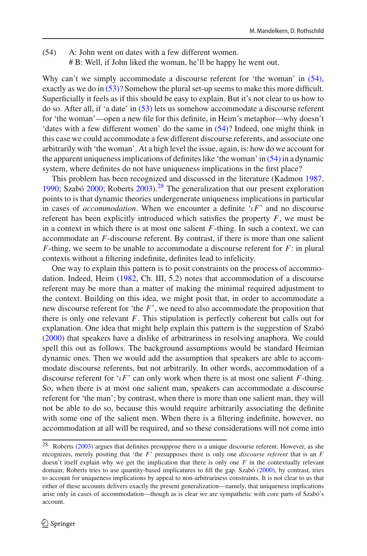(54) A: John went on dates with a few different women. # B: Well, if John liked the woman, he'll be happy he went out.

Why can't we simply accommodate a discourse referent for 'the woman' in  $(54)$ , exactly as we do in [\(53\)?](#page-28-0) Somehow the plural set-up seems to make this more difficult. Superficially it feels as if this should be easy to explain. But it's not clear to us how to do so. After all, if 'a date' in [\(53\)](#page-28-0) lets us somehow accommodate a discourse referent for 'the woman'—open a new file for this definite, in Heim's metaphor—why doesn't 'dates with a few different women' do the same in [\(54\)?](#page-28-1) Indeed, one might think in this case we could accommodate a few different discourse referents, and associate one arbitrarily with 'the woman'. At a high level the issue, again, is: how do we account for the apparent uniqueness implications of definites like 'the woman' in [\(54\)](#page-28-1) in a dynamic system, where definites do not have uniqueness implications in the first place?

This problem has been recognized and discussed in the literature (Kadmon [1987,](#page-31-21) [1990;](#page-31-22) Szabó [2000](#page-32-26); Roberts [2003\)](#page-32-27).[28](#page-29-0) The generalization that our present exploration points to is that dynamic theories undergenerate uniqueness implications in particular in cases of *accommodation*. When we encounter a definite ' $\iota$ F' and no discourse referent has been explicitly introduced which satisfies the property *F*, we must be in a context in which there is at most one salient *F*-thing. In such a context, we can accommodate an *F*-discourse referent. By contrast, if there is more than one salient *F*-thing, we seem to be unable to accommodate a discourse referent for *F*: in plural contexts without a filtering indefinite, definites lead to infelicity.

One way to explain this pattern is to posit constraints on the process of accommodation. Indeed, Heim [\(1982](#page-31-2), Ch. III, 5.2) notes that accommodation of a discourse referent may be more than a matter of making the minimal required adjustment to the context. Building on this idea, we might posit that, in order to accommodate a new discourse referent for 'the *F*', we need to also accommodate the proposition that there is only one relevant *F*. This stipulation is perfectly coherent but calls out for explanation. One idea that might help explain this pattern is the suggestion of Szab[ó](#page-32-26) [\(2000\)](#page-32-26) that speakers have a dislike of arbitrariness in resolving anaphora. We could spell this out as follows. The background assumptions would be standard Heimian dynamic ones. Then we would add the assumption that speakers are able to accommodate discourse referents, but not arbitrarily. In other words, accommodation of a discourse referent for ' $\iota$ *F*' can only work when there is at most one salient *F*-thing. So, when there is at most one salient man, speakers can accommodate a discourse referent for 'the man'; by contrast, when there is more than one salient man, they will not be able to do so, because this would require arbitrarily associating the definite with some one of the salient men. When there is a filtering indefinite, however, no accommodation at all will be required, and so these considerations will not come into

<span id="page-29-0"></span><sup>&</sup>lt;[s](#page-32-27)up>28</sup> Roberts [\(2003](#page-32-27)) argues that definites presuppose there is a unique discourse referent. However, as she recognizes, merely positing that 'the *F*' presupposes there is only one *discourse referent* that is an *F* doesn't itself explain why we get the implication that there is only one *F* in the contextually relevant domain; Roberts tries to use quantity-based implicatures to fill the gap. Szab[ó](#page-32-26) [\(2000\)](#page-32-26), by contrast, tries to account for uniqueness implications by appeal to non-arbitrariness constraints. It is not clear to us that either of these accounts delivers exactly the present generalization—namely, that uniqueness implications arise only in cases of accommodation—though as is clear we are sympathetic with core parts of Szabó's account.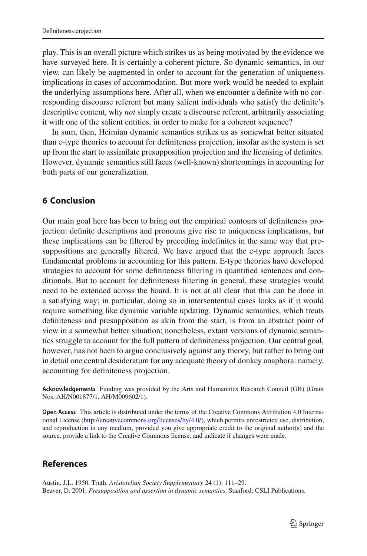play. This is an overall picture which strikes us as being motivated by the evidence we have surveyed here. It is certainly a coherent picture. So dynamic semantics, in our view, can likely be augmented in order to account for the generation of uniqueness implications in cases of accommodation. But more work would be needed to explain the underlying assumptions here. After all, when we encounter a definite with no corresponding discourse referent but many salient individuals who satisfy the definite's descriptive content, why *not* simply create a discourse referent, arbitrarily associating it with one of the salient entities, in order to make for a coherent sequence?

In sum, then, Heimian dynamic semantics strikes us as somewhat better situated than e-type theories to account for definiteness projection, insofar as the system is set up from the start to assimilate presupposition projection and the licensing of definites. However, dynamic semantics still faces (well-known) shortcomings in accounting for both parts of our generalization.

### **6 Conclusion**

Our main goal here has been to bring out the empirical contours of definiteness projection: definite descriptions and pronouns give rise to uniqueness implications, but these implications can be filtered by preceding indefinites in the same way that presuppositions are generally filtered. We have argued that the e-type approach faces fundamental problems in accounting for this pattern. E-type theories have developed strategies to account for some definiteness filtering in quantified sentences and conditionals. But to account for definiteness filtering in general, these strategies would need to be extended across the board. It is not at all clear that this can be done in a satisfying way; in particular, doing so in intersentential cases looks as if it would require something like dynamic variable updating. Dynamic semantics, which treats definiteness and presupposition as akin from the start, is from an abstract point of view in a somewhat better situation; nonetheless, extant versions of dynamic semantics struggle to account for the full pattern of definiteness projection. Our central goal, however, has not been to argue conclusively against any theory, but rather to bring out in detail one central desideratum for any adequate theory of donkey anaphora: namely, accounting for definiteness projection.

**Acknowledgements** Funding was provided by the Arts and Humanities Research Council (GB) (Grant Nos. AH/N001877/1, AH/M009602/1).

**Open Access** This article is distributed under the terms of the Creative Commons Attribution 4.0 International License [\(http://creativecommons.org/licenses/by/4.0/\)](http://creativecommons.org/licenses/by/4.0/), which permits unrestricted use, distribution, and reproduction in any medium, provided you give appropriate credit to the original author(s) and the source, provide a link to the Creative Commons license, and indicate if changes were made.

## **References**

<span id="page-30-1"></span><span id="page-30-0"></span>Austin, J.L. 1950. Truth. *Aristotelian Society Supplementary* 24 (1): 111–29. Beaver, D. 2001. *Presupposition and assertion in dynamic semantics*. Stanford: CSLI Publications.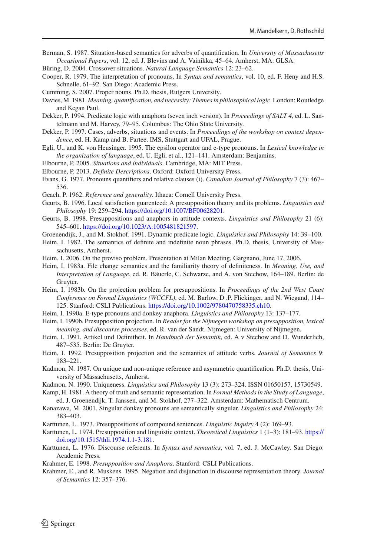- <span id="page-31-15"></span>Berman, S. 1987. Situation-based semantics for adverbs of quantification. In *University of Massachusetts Occasional Papers*, vol. 12, ed. J. Blevins and A. Vainikka, 45–64. Amherst, MA: GLSA.
- <span id="page-31-8"></span>Büring, D. 2004. Crossover situations. *Natural Language Semantics* 12: 23–62.
- <span id="page-31-6"></span>Cooper, R. 1979. The interpretation of pronouns. In *Syntax and semantics*, vol. 10, ed. F. Heny and H.S. Schnelle, 61–92. San Diego: Academic Press.
- <span id="page-31-30"></span>Cumming, S. 2007. Proper nouns. Ph.D. thesis, Rutgers University.
- <span id="page-31-18"></span>Davies, M. 1981. *Meaning, quantification, and necessity: Themes in philosophical logic*. London: Routledge and Kegan Paul.
- <span id="page-31-3"></span>Dekker, P. 1994. Predicate logic with anaphora (seven inch version). In *Proceedings of SALT 4*, ed. L. Santelmann and M. Harvey, 79–95. Columbus: The Ohio State University.
- <span id="page-31-17"></span>Dekker, P. 1997. Cases, adverbs, situations and events. In *Proceedings of the workshop on context dependence*, ed. H. Kamp and B. Partee. IMS, Stuttgart and UFAL, Prague.
- <span id="page-31-10"></span>Egli, U., and K. von Heusinger. 1995. The epsilon operator and e-type pronouns. In *Lexical knowledge in the organization of language*, ed. U. Egli, et al., 121–141. Amsterdam: Benjamins.
- <span id="page-31-9"></span>Elbourne, P. 2005. *Situations and individuals*. Cambridge, MA: MIT Press.
- <span id="page-31-16"></span>Elbourne, P. 2013. *Definite Descriptions*. Oxford: Oxford University Press.
- <span id="page-31-5"></span>Evans, G. 1977. Pronouns quantifiers and relative clauses (i). *Canadian Journal of Philosophy* 7 (3): 467– 536.
- <span id="page-31-4"></span>Geach, P. 1962. *Reference and generality*. Ithaca: Cornell University Press.
- <span id="page-31-23"></span>Geurts, B. 1996. Local satisfaction guarenteed: A presupposition theory and its problems. *Linguistics and Philosophy* 19: 259–294. [https://doi.org/10.1007/BF00628201.](https://doi.org/10.1007/BF00628201)
- <span id="page-31-26"></span>Geurts, B. 1998. Presuppositions and anaphors in attitude contexts. *Linguistics and Philosophy* 21 (6): 545–601. [https://doi.org/10.1023/A:1005481821597.](https://doi.org/10.1023/A:1005481821597)
- <span id="page-31-31"></span>Groenendijk, J., and M. Stokhof. 1991. Dynamic predicate logic. *Linguistics and Philosophy* 14: 39–100.
- <span id="page-31-2"></span>Heim, I. 1982. The semantics of definite and indefinite noun phrases. Ph.D. thesis, University of Massachusetts, Amherst.
- <span id="page-31-24"></span>Heim, I. 2006. On the proviso problem. Presentation at Milan Meeting, Gargnano, June 17, 2006.
- <span id="page-31-20"></span>Heim, I. 1983a. File change semantics and the familiarity theory of definiteness. In *Meaning, Use, and Interpretation of Language*, ed. R. Bäuerle, C. Schwarze, and A. von Stechow, 164–189. Berlin: de Gruyter.
- <span id="page-31-13"></span>Heim, I. 1983b. On the projection problem for presuppositions. In *Proceedings of the 2nd West Coast Conference on Formal Linguistics (WCCFL)*, ed. M. Barlow, D .P. Flickinger, and N. Wiegand, 114– 125. Stanford: CSLI Publications. [https://doi.org/10.1002/9780470758335.ch10.](https://doi.org/10.1002/9780470758335.ch10)
- <span id="page-31-7"></span>Heim, I. 1990a. E-type pronouns and donkey anaphora. *Linguistics and Philosophy* 13: 137–177.
- <span id="page-31-27"></span>Heim, I. 1990b. Presupposition projection. In *Reader for the Nijmegen workshop on presupposition, lexical meaning, and discourse processes*, ed. R. van der Sandt. Nijmegen: University of Nijmegen.
- <span id="page-31-14"></span>Heim, I. 1991. Artikel und Definitheit. In *Handbuch der Semantik*, ed. A v Stechow and D. Wunderlich, 487–535. Berlin: De Gruyter.
- <span id="page-31-25"></span>Heim, I. 1992. Presupposition projection and the semantics of attitude verbs. *Journal of Semantics* 9: 183–221.
- <span id="page-31-21"></span>Kadmon, N. 1987. On unique and non-unique reference and asymmetric quantification. Ph.D. thesis, University of Massachusetts, Amherst.
- <span id="page-31-22"></span>Kadmon, N. 1990. Uniqueness. *Linguistics and Philosophy* 13 (3): 273–324. ISSN 01650157, 15730549.
- <span id="page-31-1"></span>Kamp, H. 1981. A theory of truth and semantic representation. In *Formal Methods in the Study of Language*, ed. J. Groenendijk, T. Janssen, and M. Stokhof, 277–322. Amsterdam: Mathematisch Centrum.
- <span id="page-31-19"></span>Kanazawa, M. 2001. Singular donkey pronouns are semantically singular. *Linguistics and Philosophy* 24: 383–403.
- <span id="page-31-11"></span>Karttunen, L. 1973. Presuppositions of compound sentences. *Linguistic Inquiry* 4 (2): 169–93.
- <span id="page-31-12"></span>Karttunen, L. 1974. Presupposition and linguistic context. *Theoretical Linguistics* 1 (1–3): 181–93. [https://](https://doi.org/10.1515/thli.1974.1.1-3.181) [doi.org/10.1515/thli.1974.1.1-3.181.](https://doi.org/10.1515/thli.1974.1.1-3.181)
- <span id="page-31-0"></span>Karttunen, L. 1976. Discourse referents. In *Syntax and semantics*, vol. 7, ed. J. McCawley. San Diego: Academic Press.
- <span id="page-31-29"></span>Krahmer, E. 1998. *Presupposition and Anaphora*. Stanford: CSLI Publications.
- <span id="page-31-28"></span>Krahmer, E., and R. Muskens. 1995. Negation and disjunction in discourse representation theory. *Journal of Semantics* 12: 357–376.